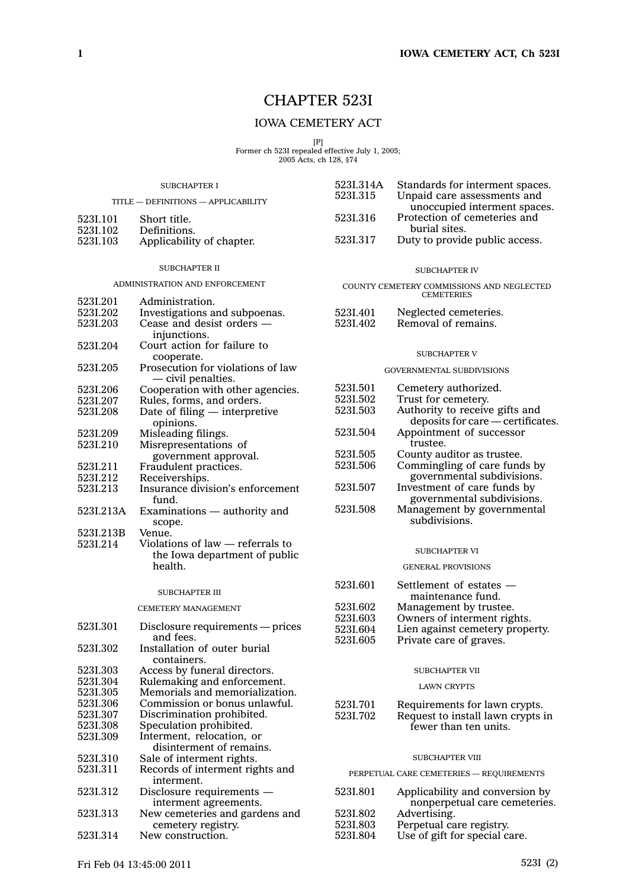# CHAPTER 523I

# IOWA CEMETERY ACT

[P] Former ch 523I repealed effective July 1, 2005; 2005 Acts, ch 128, §74

| <b>SUBCHAPTER I</b>                 |                                                      | 523I.314A                                                      | Standards for interment spaces.                             |
|-------------------------------------|------------------------------------------------------|----------------------------------------------------------------|-------------------------------------------------------------|
| TITLE - DEFINITIONS - APPLICABILITY |                                                      | 5231.315                                                       | Unpaid care assessments and<br>unoccupied interment spaces. |
| 523I.101                            | Short title.                                         | 5231.316                                                       | Protection of cemeteries and<br>burial sites.               |
| 5231.102                            | Definitions.                                         | 5231.317                                                       | Duty to provide public access.                              |
| 523I.103                            | Applicability of chapter.                            |                                                                |                                                             |
|                                     | <b>SUBCHAPTER II</b>                                 |                                                                | <b>SUBCHAPTER IV</b>                                        |
| ADMINISTRATION AND ENFORCEMENT      |                                                      | COUNTY CEMETERY COMMISSIONS AND NEGLECTED<br><b>CEMETERIES</b> |                                                             |
| 5231.201<br>5231,202                | Administration.<br>Investigations and subpoenas.     | 523I.401                                                       | Neglected cemeteries.                                       |
| 5231.203                            | Cease and desist orders —                            | 5231.402                                                       | Removal of remains.                                         |
|                                     | injunctions.                                         |                                                                |                                                             |
| 5231.204                            | Court action for failure to                          |                                                                | <b>SUBCHAPTER V</b>                                         |
|                                     | cooperate.<br>Prosecution for violations of law      |                                                                |                                                             |
| 5231.205                            | — civil penalties.                                   |                                                                | GOVERNMENTAL SUBDIVISIONS                                   |
| 523I.206                            | Cooperation with other agencies.                     | 5231.501                                                       | Cemetery authorized.                                        |
| 5231.207                            | Rules, forms, and orders.                            | 5231.502                                                       | Trust for cemetery.                                         |
| 5231.208                            | Date of filing $-$ interpretive                      | 5231.503                                                       | Authority to receive gifts and                              |
|                                     | opinions.                                            |                                                                | deposits for care - certificates                            |
| 5231.209<br>5231.210                | Misleading filings.<br>Misrepresentations of         | 5231.504                                                       | Appointment of successor<br>trustee.                        |
|                                     | government approval.                                 | 5231.505                                                       | County auditor as trustee.                                  |
| 5231.211                            | Fraudulent practices.                                | 5231.506                                                       | Commingling of care funds by                                |
| 5231.212                            | Receiverships.                                       |                                                                | governmental subdivisions.                                  |
| 5231,213                            | Insurance division's enforcement                     | 5231.507                                                       | Investment of care funds by                                 |
|                                     | fund.                                                |                                                                | governmental subdivisions.                                  |
| 523I.213A                           | Examinations - authority and<br>scope.               | 5231.508                                                       | Management by governmental<br>subdivisions.                 |
| 523I.213B                           | Venue.                                               |                                                                |                                                             |
| 5231.214                            | Violations of law — referrals to                     |                                                                | <b>SUBCHAPTER VI</b>                                        |
|                                     | the Iowa department of public<br>health.             |                                                                | <b>GENERAL PROVISIONS</b>                                   |
|                                     |                                                      |                                                                |                                                             |
|                                     | <b>SUBCHAPTER III</b>                                | 523I.601                                                       | Settlement of estates —<br>maintenance fund.                |
|                                     | CEMETERY MANAGEMENT                                  | 5231.602                                                       | Management by trustee.                                      |
|                                     |                                                      | 5231.603                                                       | Owners of interment rights.                                 |
| 5231.301                            | Disclosure requirements - prices                     | 5231.604                                                       | Lien against cemetery property.                             |
| 5231.302                            | and fees.<br>Installation of outer burial            | 523I.605                                                       | Private care of graves.                                     |
|                                     | containers.                                          |                                                                |                                                             |
| 5231.303                            | Access by funeral directors.                         |                                                                | SUBCHAPTER VII                                              |
| 5231.304                            | Rulemaking and enforcement.                          |                                                                | <b>LAWN CRYPTS</b>                                          |
| 5231.305                            | Memorials and memorialization.                       |                                                                |                                                             |
| 5231.306                            | Commission or bonus unlawful.                        | 5231.701                                                       | Requirements for lawn crypts.                               |
| 5231.307<br>523L308                 | Discrimination prohibited.                           | 5231.702                                                       | Request to install lawn crypts in                           |
| 5231.309                            | Speculation prohibited.<br>Interment, relocation, or |                                                                | fewer than ten units.                                       |
|                                     | disinterment of remains.                             |                                                                |                                                             |
| 5231.310                            | Sale of interment rights.                            |                                                                | <b>SUBCHAPTER VIII</b>                                      |
| 5231.311                            | Records of interment rights and<br>interment.        | PERPETUAL CARE CEMETERIES - REQUIREMENTS                       |                                                             |
| 5231.312                            | Disclosure requirements -                            | 523I.801                                                       | Applicability and conversion by                             |
|                                     | interment agreements.                                |                                                                | nonperpetual care cemeteries.                               |
| 5231.313                            | New cemeteries and gardens and                       | 523I.802                                                       | Advertising.                                                |
|                                     | cemetery registry.                                   | 5231.803                                                       | Perpetual care registry.                                    |
| 5231.314                            | New construction.                                    | 523I.804                                                       | Use of gift for special care.                               |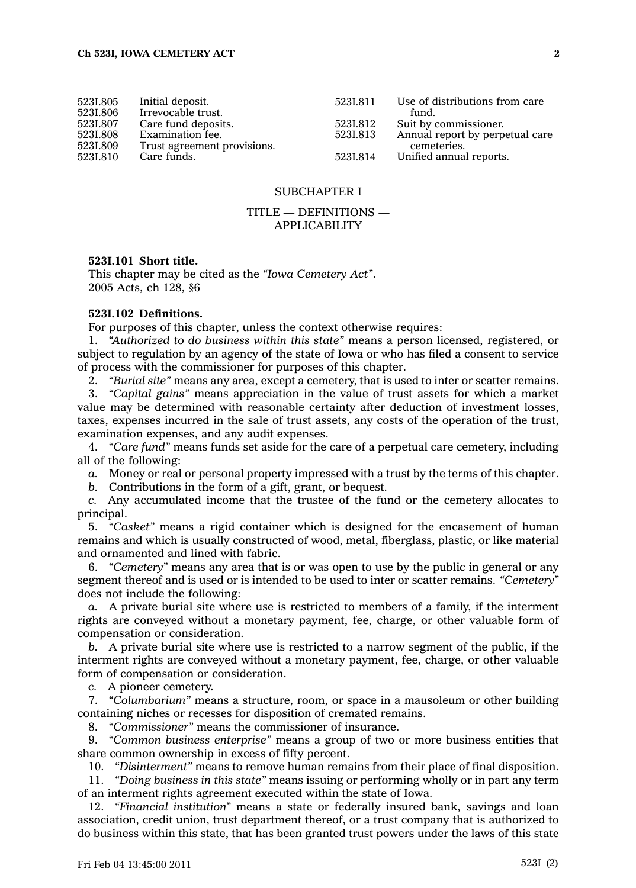| 5231.805<br>5231.806 | Initial deposit.<br>Irrevocable trust. | 5231.811 | Use of distributions from care<br>fund. |
|----------------------|----------------------------------------|----------|-----------------------------------------|
| 5231.807             | Care fund deposits.                    | 5231.812 | Suit by commissioner.                   |
| 5231.808             | Examination fee.                       | 5231.813 | Annual report by perpetual care         |
| 5231.809             | Trust agreement provisions.            |          | cemeteries.                             |
| 5231.810             | Care funds.                            | 5231.814 | Unified annual reports.                 |

# SUBCHAPTER I

# TITLE — DEFINITIONS — APPLICABILITY

# **523I.101 Short title.**

This chapter may be cited as the *"Iowa Cemetery Act"*. 2005 Acts, ch 128, §6

# **523I.102 Definitions.**

For purposes of this chapter, unless the context otherwise requires:

1. *"Authorized to do business within this state"* means <sup>a</sup> person licensed, registered, or subject to regulation by an agency of the state of Iowa or who has filed <sup>a</sup> consent to service of process with the commissioner for purposes of this chapter.

2. *"Burial site"* means any area, except <sup>a</sup> cemetery, that is used to inter or scatter remains.

3. *"Capital gains"* means appreciation in the value of trust assets for which <sup>a</sup> market value may be determined with reasonable certainty after deduction of investment losses, taxes, expenses incurred in the sale of trust assets, any costs of the operation of the trust, examination expenses, and any audit expenses.

4. *"Care fund"* means funds set aside for the care of <sup>a</sup> perpetual care cemetery, including all of the following:

*a.* Money or real or personal property impressed with <sup>a</sup> trust by the terms of this chapter.

*b.* Contributions in the form of <sup>a</sup> gift, grant, or bequest.

*c.* Any accumulated income that the trustee of the fund or the cemetery allocates to principal.

5. *"Casket"* means <sup>a</sup> rigid container which is designed for the encasement of human remains and which is usually constructed of wood, metal, fiberglass, plastic, or like material and ornamented and lined with fabric.

6. *"Cemetery"* means any area that is or was open to use by the public in general or any segment thereof and is used or is intended to be used to inter or scatter remains. *"Cemetery"* does not include the following:

*a.* A private burial site where use is restricted to members of <sup>a</sup> family, if the interment rights are conveyed without <sup>a</sup> monetary payment, fee, charge, or other valuable form of compensation or consideration.

*b.* A private burial site where use is restricted to <sup>a</sup> narrow segment of the public, if the interment rights are conveyed without <sup>a</sup> monetary payment, fee, charge, or other valuable form of compensation or consideration.

*c.* A pioneer cemetery.

7. *"Columbarium"* means <sup>a</sup> structure, room, or space in <sup>a</sup> mausoleum or other building containing niches or recesses for disposition of cremated remains.

8. *"Commissioner"* means the commissioner of insurance.

9. *"Common business enterprise"* means <sup>a</sup> group of two or more business entities that share common ownership in excess of fifty percent.

10. *"Disinterment"* means to remove human remains from their place of final disposition.

11. *"Doing business in this state"* means issuing or performing wholly or in part any term of an interment rights agreement executed within the state of Iowa.

12. *"Financial institution"* means <sup>a</sup> state or federally insured bank, savings and loan association, credit union, trust department thereof, or <sup>a</sup> trust company that is authorized to do business within this state, that has been granted trust powers under the laws of this state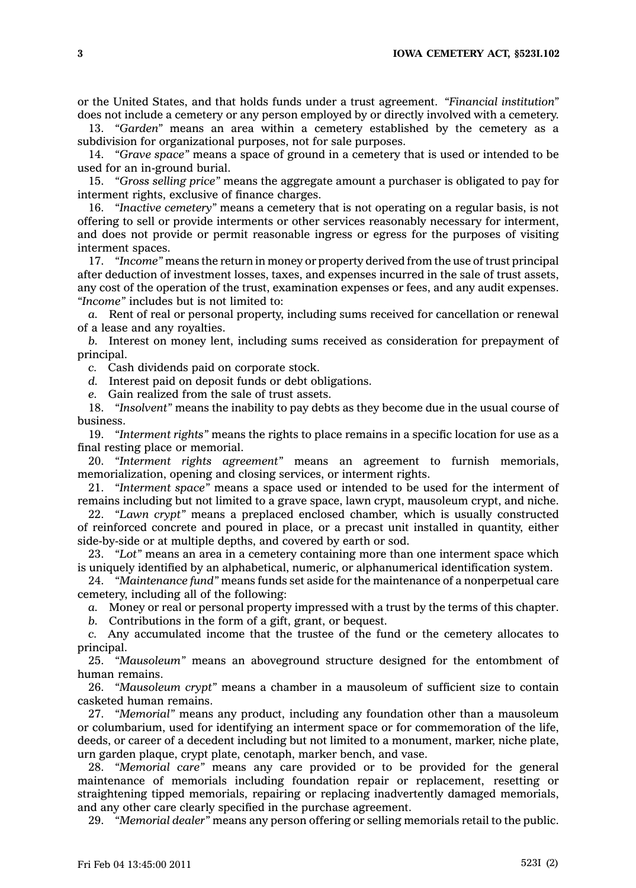or the United States, and that holds funds under <sup>a</sup> trust agreement. *"Financial institution"* does not include <sup>a</sup> cemetery or any person employed by or directly involved with <sup>a</sup> cemetery.

13. *"Garden"* means an area within <sup>a</sup> cemetery established by the cemetery as <sup>a</sup> subdivision for organizational purposes, not for sale purposes.

14. *"Grave space"* means <sup>a</sup> space of ground in <sup>a</sup> cemetery that is used or intended to be used for an in-ground burial.

15. *"Gross selling price"* means the aggregate amount <sup>a</sup> purchaser is obligated to pay for interment rights, exclusive of finance charges.

16. *"Inactive cemetery"* means <sup>a</sup> cemetery that is not operating on <sup>a</sup> regular basis, is not offering to sell or provide interments or other services reasonably necessary for interment, and does not provide or permit reasonable ingress or egress for the purposes of visiting interment spaces.

17. *"Income"* means the return in money or property derived from the use of trust principal after deduction of investment losses, taxes, and expenses incurred in the sale of trust assets, any cost of the operation of the trust, examination expenses or fees, and any audit expenses. *"Income"* includes but is not limited to:

*a.* Rent of real or personal property, including sums received for cancellation or renewal of <sup>a</sup> lease and any royalties.

*b.* Interest on money lent, including sums received as consideration for prepayment of principal.

*c.* Cash dividends paid on corporate stock.

*d.* Interest paid on deposit funds or debt obligations.

*e.* Gain realized from the sale of trust assets.

18. *"Insolvent"* means the inability to pay debts as they become due in the usual course of business.

19. *"Interment rights"* means the rights to place remains in <sup>a</sup> specific location for use as <sup>a</sup> final resting place or memorial.

20. *"Interment rights agreement"* means an agreement to furnish memorials, memorialization, opening and closing services, or interment rights.

21. *"Interment space"* means <sup>a</sup> space used or intended to be used for the interment of remains including but not limited to <sup>a</sup> grave space, lawn crypt, mausoleum crypt, and niche.

22. *"Lawn crypt"* means <sup>a</sup> preplaced enclosed chamber, which is usually constructed of reinforced concrete and poured in place, or <sup>a</sup> precast unit installed in quantity, either side-by-side or at multiple depths, and covered by earth or sod.

23. *"Lot"* means an area in <sup>a</sup> cemetery containing more than one interment space which is uniquely identified by an alphabetical, numeric, or alphanumerical identification system.

24. *"Maintenance fund"* means funds set aside for the maintenance of <sup>a</sup> nonperpetual care cemetery, including all of the following:

*a.* Money or real or personal property impressed with <sup>a</sup> trust by the terms of this chapter.

*b.* Contributions in the form of <sup>a</sup> gift, grant, or bequest.

*c.* Any accumulated income that the trustee of the fund or the cemetery allocates to principal.

25. *"Mausoleum"* means an aboveground structure designed for the entombment of human remains.

26. *"Mausoleum crypt"* means <sup>a</sup> chamber in <sup>a</sup> mausoleum of sufficient size to contain casketed human remains.

27. *"Memorial"* means any product, including any foundation other than <sup>a</sup> mausoleum or columbarium, used for identifying an interment space or for commemoration of the life, deeds, or career of <sup>a</sup> decedent including but not limited to <sup>a</sup> monument, marker, niche plate, urn garden plaque, crypt plate, cenotaph, marker bench, and vase.

28. *"Memorial care"* means any care provided or to be provided for the general maintenance of memorials including foundation repair or replacement, resetting or straightening tipped memorials, repairing or replacing inadvertently damaged memorials, and any other care clearly specified in the purchase agreement.

29. *"Memorial dealer"* means any person offering or selling memorials retail to the public.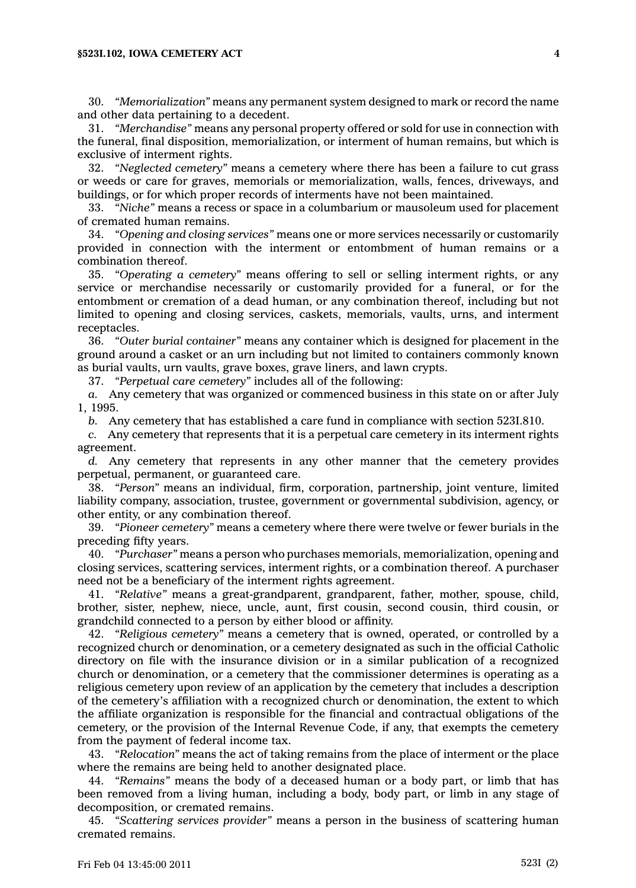30. *"Memorialization"* means any permanent system designed to mark or record the name and other data pertaining to <sup>a</sup> decedent.

31. *"Merchandise"* means any personal property offered or sold for use in connection with the funeral, final disposition, memorialization, or interment of human remains, but which is exclusive of interment rights.

32. *"Neglected cemetery"* means <sup>a</sup> cemetery where there has been <sup>a</sup> failure to cut grass or weeds or care for graves, memorials or memorialization, walls, fences, driveways, and buildings, or for which proper records of interments have not been maintained.

33. *"Niche"* means <sup>a</sup> recess or space in <sup>a</sup> columbarium or mausoleum used for placement of cremated human remains.

34. *"Opening and closing services"* means one or more services necessarily or customarily provided in connection with the interment or entombment of human remains or <sup>a</sup> combination thereof.

35. *"Operating <sup>a</sup> cemetery"* means offering to sell or selling interment rights, or any service or merchandise necessarily or customarily provided for <sup>a</sup> funeral, or for the entombment or cremation of <sup>a</sup> dead human, or any combination thereof, including but not limited to opening and closing services, caskets, memorials, vaults, urns, and interment receptacles.

36. *"Outer burial container"* means any container which is designed for placement in the ground around <sup>a</sup> casket or an urn including but not limited to containers commonly known as burial vaults, urn vaults, grave boxes, grave liners, and lawn crypts.

37. *"Perpetual care cemetery"* includes all of the following:

*a.* Any cemetery that was organized or commenced business in this state on or after July 1, 1995.

*b.* Any cemetery that has established <sup>a</sup> care fund in compliance with section 523I.810.

*c.* Any cemetery that represents that it is <sup>a</sup> perpetual care cemetery in its interment rights agreement.

*d.* Any cemetery that represents in any other manner that the cemetery provides perpetual, permanent, or guaranteed care.

38. *"Person"* means an individual, firm, corporation, partnership, joint venture, limited liability company, association, trustee, government or governmental subdivision, agency, or other entity, or any combination thereof.

39. *"Pioneer cemetery"* means <sup>a</sup> cemetery where there were twelve or fewer burials in the preceding fifty years.

40. *"Purchaser"* means <sup>a</sup> person who purchases memorials, memorialization, opening and closing services, scattering services, interment rights, or <sup>a</sup> combination thereof. A purchaser need not be <sup>a</sup> beneficiary of the interment rights agreement.

41. *"Relative"* means <sup>a</sup> great-grandparent, grandparent, father, mother, spouse, child, brother, sister, nephew, niece, uncle, aunt, first cousin, second cousin, third cousin, or grandchild connected to <sup>a</sup> person by either blood or affinity.

42. *"Religious cemetery"* means <sup>a</sup> cemetery that is owned, operated, or controlled by <sup>a</sup> recognized church or denomination, or <sup>a</sup> cemetery designated as such in the official Catholic directory on file with the insurance division or in <sup>a</sup> similar publication of <sup>a</sup> recognized church or denomination, or <sup>a</sup> cemetery that the commissioner determines is operating as <sup>a</sup> religious cemetery upon review of an application by the cemetery that includes <sup>a</sup> description of the cemetery's affiliation with <sup>a</sup> recognized church or denomination, the extent to which the affiliate organization is responsible for the financial and contractual obligations of the cemetery, or the provision of the Internal Revenue Code, if any, that exempts the cemetery from the payment of federal income tax.

43. *"Relocation"* means the act of taking remains from the place of interment or the place where the remains are being held to another designated place.

44. *"Remains"* means the body of <sup>a</sup> deceased human or <sup>a</sup> body part, or limb that has been removed from <sup>a</sup> living human, including <sup>a</sup> body, body part, or limb in any stage of decomposition, or cremated remains.

45. *"Scattering services provider"* means <sup>a</sup> person in the business of scattering human cremated remains.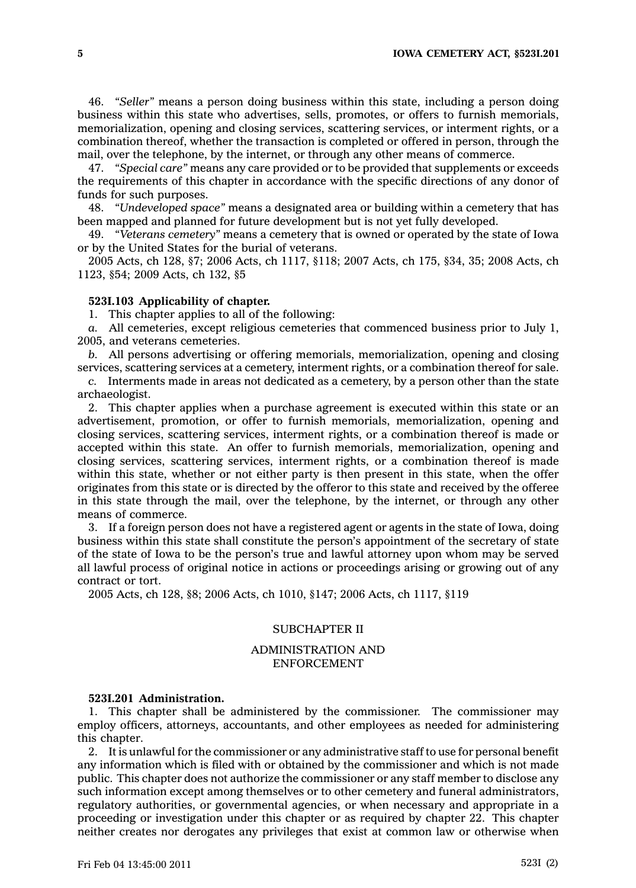46. *"Seller"* means <sup>a</sup> person doing business within this state, including <sup>a</sup> person doing business within this state who advertises, sells, promotes, or offers to furnish memorials, memorialization, opening and closing services, scattering services, or interment rights, or <sup>a</sup> combination thereof, whether the transaction is completed or offered in person, through the mail, over the telephone, by the internet, or through any other means of commerce.

47. *"Special care"* means any care provided or to be provided that supplements or exceeds the requirements of this chapter in accordance with the specific directions of any donor of funds for such purposes.

48. *"Undeveloped space"* means <sup>a</sup> designated area or building within <sup>a</sup> cemetery that has been mapped and planned for future development but is not yet fully developed.

49. *"Veterans cemetery"* means <sup>a</sup> cemetery that is owned or operated by the state of Iowa or by the United States for the burial of veterans.

2005 Acts, ch 128, §7; 2006 Acts, ch 1117, §118; 2007 Acts, ch 175, §34, 35; 2008 Acts, ch 1123, §54; 2009 Acts, ch 132, §5

#### **523I.103 Applicability of chapter.**

1. This chapter applies to all of the following:

*a.* All cemeteries, except religious cemeteries that commenced business prior to July 1, 2005, and veterans cemeteries.

*b.* All persons advertising or offering memorials, memorialization, opening and closing services, scattering services at <sup>a</sup> cemetery, interment rights, or <sup>a</sup> combination thereof for sale.

*c.* Interments made in areas not dedicated as <sup>a</sup> cemetery, by <sup>a</sup> person other than the state archaeologist.

2. This chapter applies when <sup>a</sup> purchase agreement is executed within this state or an advertisement, promotion, or offer to furnish memorials, memorialization, opening and closing services, scattering services, interment rights, or <sup>a</sup> combination thereof is made or accepted within this state. An offer to furnish memorials, memorialization, opening and closing services, scattering services, interment rights, or <sup>a</sup> combination thereof is made within this state, whether or not either party is then present in this state, when the offer originates from this state or is directed by the offeror to this state and received by the offeree in this state through the mail, over the telephone, by the internet, or through any other means of commerce.

3. If <sup>a</sup> foreign person does not have <sup>a</sup> registered agent or agents in the state of Iowa, doing business within this state shall constitute the person's appointment of the secretary of state of the state of Iowa to be the person's true and lawful attorney upon whom may be served all lawful process of original notice in actions or proceedings arising or growing out of any contract or tort.

2005 Acts, ch 128, §8; 2006 Acts, ch 1010, §147; 2006 Acts, ch 1117, §119

# SUBCHAPTER II

# ADMINISTRATION AND ENFORCEMENT

#### **523I.201 Administration.**

1. This chapter shall be administered by the commissioner. The commissioner may employ officers, attorneys, accountants, and other employees as needed for administering this chapter.

2. It is unlawful for the commissioner or any administrative staff to use for personal benefit any information which is filed with or obtained by the commissioner and which is not made public. This chapter does not authorize the commissioner or any staff member to disclose any such information except among themselves or to other cemetery and funeral administrators, regulatory authorities, or governmental agencies, or when necessary and appropriate in <sup>a</sup> proceeding or investigation under this chapter or as required by chapter 22. This chapter neither creates nor derogates any privileges that exist at common law or otherwise when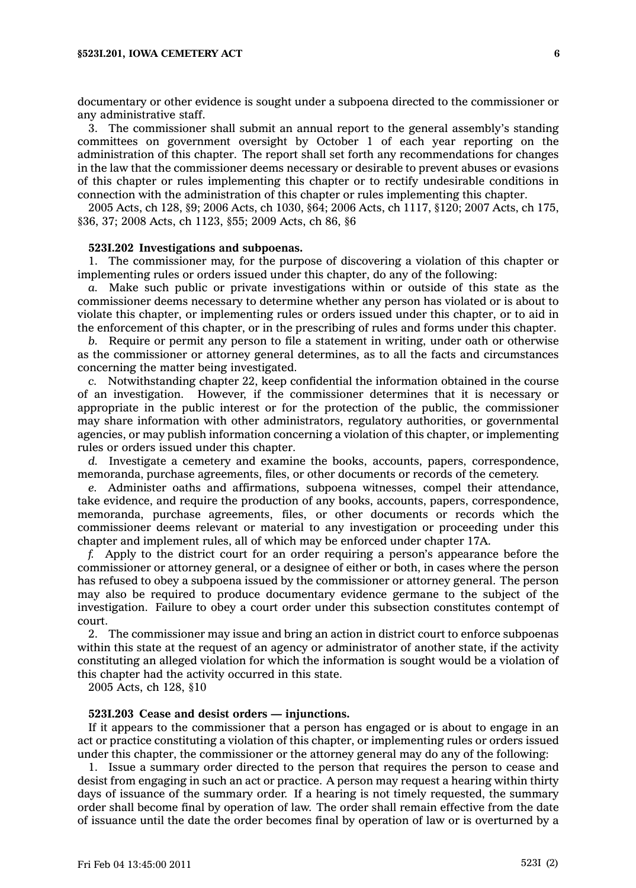documentary or other evidence is sought under <sup>a</sup> subpoena directed to the commissioner or any administrative staff.

3. The commissioner shall submit an annual report to the general assembly's standing committees on government oversight by October 1 of each year reporting on the administration of this chapter. The report shall set forth any recommendations for changes in the law that the commissioner deems necessary or desirable to prevent abuses or evasions of this chapter or rules implementing this chapter or to rectify undesirable conditions in connection with the administration of this chapter or rules implementing this chapter.

2005 Acts, ch 128, §9; 2006 Acts, ch 1030, §64; 2006 Acts, ch 1117, §120; 2007 Acts, ch 175, §36, 37; 2008 Acts, ch 1123, §55; 2009 Acts, ch 86, §6

#### **523I.202 Investigations and subpoenas.**

1. The commissioner may, for the purpose of discovering <sup>a</sup> violation of this chapter or implementing rules or orders issued under this chapter, do any of the following:

*a.* Make such public or private investigations within or outside of this state as the commissioner deems necessary to determine whether any person has violated or is about to violate this chapter, or implementing rules or orders issued under this chapter, or to aid in the enforcement of this chapter, or in the prescribing of rules and forms under this chapter.

*b.* Require or permit any person to file <sup>a</sup> statement in writing, under oath or otherwise as the commissioner or attorney general determines, as to all the facts and circumstances concerning the matter being investigated.

*c.* Notwithstanding chapter 22, keep confidential the information obtained in the course of an investigation. However, if the commissioner determines that it is necessary or appropriate in the public interest or for the protection of the public, the commissioner may share information with other administrators, regulatory authorities, or governmental agencies, or may publish information concerning <sup>a</sup> violation of this chapter, or implementing rules or orders issued under this chapter.

*d.* Investigate <sup>a</sup> cemetery and examine the books, accounts, papers, correspondence, memoranda, purchase agreements, files, or other documents or records of the cemetery.

*e.* Administer oaths and affirmations, subpoena witnesses, compel their attendance, take evidence, and require the production of any books, accounts, papers, correspondence, memoranda, purchase agreements, files, or other documents or records which the commissioner deems relevant or material to any investigation or proceeding under this chapter and implement rules, all of which may be enforced under chapter 17A.

*f.* Apply to the district court for an order requiring <sup>a</sup> person's appearance before the commissioner or attorney general, or <sup>a</sup> designee of either or both, in cases where the person has refused to obey <sup>a</sup> subpoena issued by the commissioner or attorney general. The person may also be required to produce documentary evidence germane to the subject of the investigation. Failure to obey <sup>a</sup> court order under this subsection constitutes contempt of court.

2. The commissioner may issue and bring an action in district court to enforce subpoenas within this state at the request of an agency or administrator of another state, if the activity constituting an alleged violation for which the information is sought would be <sup>a</sup> violation of this chapter had the activity occurred in this state.

2005 Acts, ch 128, §10

# **523I.203 Cease and desist orders — injunctions.**

If it appears to the commissioner that <sup>a</sup> person has engaged or is about to engage in an act or practice constituting <sup>a</sup> violation of this chapter, or implementing rules or orders issued under this chapter, the commissioner or the attorney general may do any of the following:

1. Issue <sup>a</sup> summary order directed to the person that requires the person to cease and desist from engaging in such an act or practice. A person may request <sup>a</sup> hearing within thirty days of issuance of the summary order. If <sup>a</sup> hearing is not timely requested, the summary order shall become final by operation of law. The order shall remain effective from the date of issuance until the date the order becomes final by operation of law or is overturned by <sup>a</sup>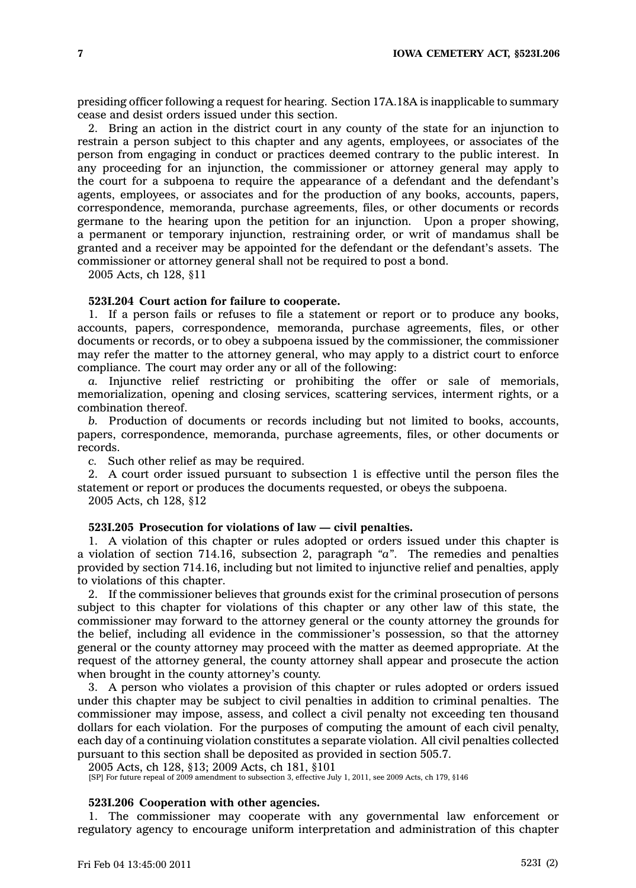presiding officer following <sup>a</sup> request for hearing. Section 17A.18A is inapplicable to summary cease and desist orders issued under this section.

2. Bring an action in the district court in any county of the state for an injunction to restrain <sup>a</sup> person subject to this chapter and any agents, employees, or associates of the person from engaging in conduct or practices deemed contrary to the public interest. In any proceeding for an injunction, the commissioner or attorney general may apply to the court for <sup>a</sup> subpoena to require the appearance of <sup>a</sup> defendant and the defendant's agents, employees, or associates and for the production of any books, accounts, papers, correspondence, memoranda, purchase agreements, files, or other documents or records germane to the hearing upon the petition for an injunction. Upon <sup>a</sup> proper showing, <sup>a</sup> permanent or temporary injunction, restraining order, or writ of mandamus shall be granted and <sup>a</sup> receiver may be appointed for the defendant or the defendant's assets. The commissioner or attorney general shall not be required to post <sup>a</sup> bond.

2005 Acts, ch 128, §11

#### **523I.204 Court action for failure to cooperate.**

1. If <sup>a</sup> person fails or refuses to file <sup>a</sup> statement or report or to produce any books, accounts, papers, correspondence, memoranda, purchase agreements, files, or other documents or records, or to obey <sup>a</sup> subpoena issued by the commissioner, the commissioner may refer the matter to the attorney general, who may apply to <sup>a</sup> district court to enforce compliance. The court may order any or all of the following:

*a.* Injunctive relief restricting or prohibiting the offer or sale of memorials, memorialization, opening and closing services, scattering services, interment rights, or <sup>a</sup> combination thereof.

*b.* Production of documents or records including but not limited to books, accounts, papers, correspondence, memoranda, purchase agreements, files, or other documents or records.

*c.* Such other relief as may be required.

2. A court order issued pursuant to subsection 1 is effective until the person files the statement or report or produces the documents requested, or obeys the subpoena.

2005 Acts, ch 128, §12

### **523I.205 Prosecution for violations of law — civil penalties.**

1. A violation of this chapter or rules adopted or orders issued under this chapter is <sup>a</sup> violation of section 714.16, subsection 2, paragraph *"a"*. The remedies and penalties provided by section 714.16, including but not limited to injunctive relief and penalties, apply to violations of this chapter.

2. If the commissioner believes that grounds exist for the criminal prosecution of persons subject to this chapter for violations of this chapter or any other law of this state, the commissioner may forward to the attorney general or the county attorney the grounds for the belief, including all evidence in the commissioner's possession, so that the attorney general or the county attorney may proceed with the matter as deemed appropriate. At the request of the attorney general, the county attorney shall appear and prosecute the action when brought in the county attorney's county.

3. A person who violates <sup>a</sup> provision of this chapter or rules adopted or orders issued under this chapter may be subject to civil penalties in addition to criminal penalties. The commissioner may impose, assess, and collect <sup>a</sup> civil penalty not exceeding ten thousand dollars for each violation. For the purposes of computing the amount of each civil penalty, each day of <sup>a</sup> continuing violation constitutes <sup>a</sup> separate violation. All civil penalties collected pursuant to this section shall be deposited as provided in section 505.7.

2005 Acts, ch 128, §13; 2009 Acts, ch 181, §101

[SP] For future repeal of 2009 amendment to subsection 3, effective July 1, 2011, see 2009 Acts, ch 179, §146

# **523I.206 Cooperation with other agencies.**

1. The commissioner may cooperate with any governmental law enforcement or regulatory agency to encourage uniform interpretation and administration of this chapter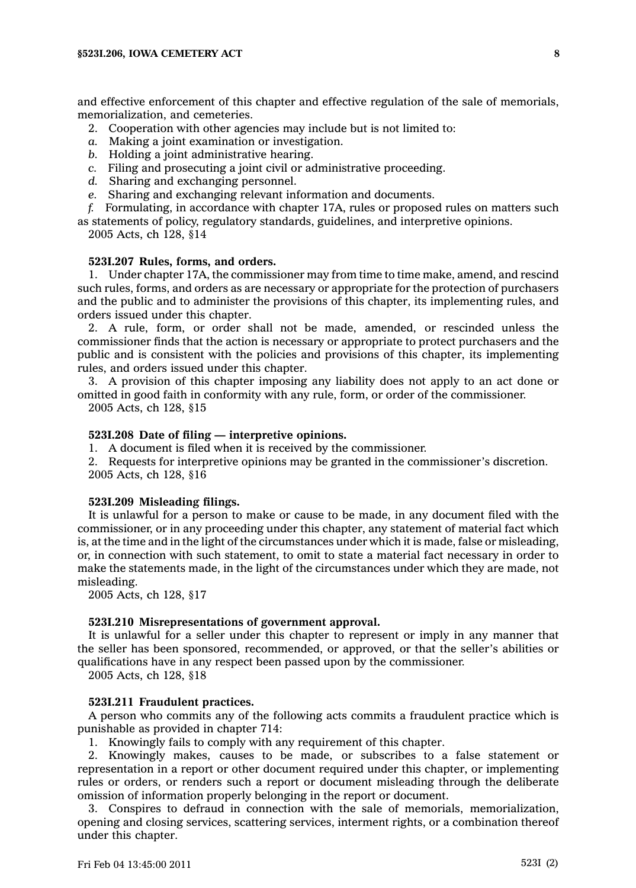and effective enforcement of this chapter and effective regulation of the sale of memorials, memorialization, and cemeteries.

- 2. Cooperation with other agencies may include but is not limited to:
- *a.* Making <sup>a</sup> joint examination or investigation.
- *b.* Holding <sup>a</sup> joint administrative hearing.
- *c.* Filing and prosecuting <sup>a</sup> joint civil or administrative proceeding.
- *d.* Sharing and exchanging personnel.
- *e.* Sharing and exchanging relevant information and documents.
- *f.* Formulating, in accordance with chapter 17A, rules or proposed rules on matters such as statements of policy, regulatory standards, guidelines, and interpretive opinions.
	- 2005 Acts, ch 128, §14

#### **523I.207 Rules, forms, and orders.**

1. Under chapter 17A, the commissioner may from time to time make, amend, and rescind such rules, forms, and orders as are necessary or appropriate for the protection of purchasers and the public and to administer the provisions of this chapter, its implementing rules, and orders issued under this chapter.

2. A rule, form, or order shall not be made, amended, or rescinded unless the commissioner finds that the action is necessary or appropriate to protect purchasers and the public and is consistent with the policies and provisions of this chapter, its implementing rules, and orders issued under this chapter.

3. A provision of this chapter imposing any liability does not apply to an act done or omitted in good faith in conformity with any rule, form, or order of the commissioner. 2005 Acts, ch 128, §15

# **523I.208 Date of filing — interpretive opinions.**

1. A document is filed when it is received by the commissioner.

2. Requests for interpretive opinions may be granted in the commissioner's discretion. 2005 Acts, ch 128, §16

# **523I.209 Misleading filings.**

It is unlawful for <sup>a</sup> person to make or cause to be made, in any document filed with the commissioner, or in any proceeding under this chapter, any statement of material fact which is, at the time and in the light of the circumstances under which it is made, false or misleading, or, in connection with such statement, to omit to state <sup>a</sup> material fact necessary in order to make the statements made, in the light of the circumstances under which they are made, not misleading.

2005 Acts, ch 128, §17

# **523I.210 Misrepresentations of government approval.**

It is unlawful for <sup>a</sup> seller under this chapter to represent or imply in any manner that the seller has been sponsored, recommended, or approved, or that the seller's abilities or qualifications have in any respect been passed upon by the commissioner.

2005 Acts, ch 128, §18

# **523I.211 Fraudulent practices.**

A person who commits any of the following acts commits <sup>a</sup> fraudulent practice which is punishable as provided in chapter 714:

1. Knowingly fails to comply with any requirement of this chapter.

2. Knowingly makes, causes to be made, or subscribes to <sup>a</sup> false statement or representation in <sup>a</sup> report or other document required under this chapter, or implementing rules or orders, or renders such <sup>a</sup> report or document misleading through the deliberate omission of information properly belonging in the report or document.

3. Conspires to defraud in connection with the sale of memorials, memorialization, opening and closing services, scattering services, interment rights, or <sup>a</sup> combination thereof under this chapter.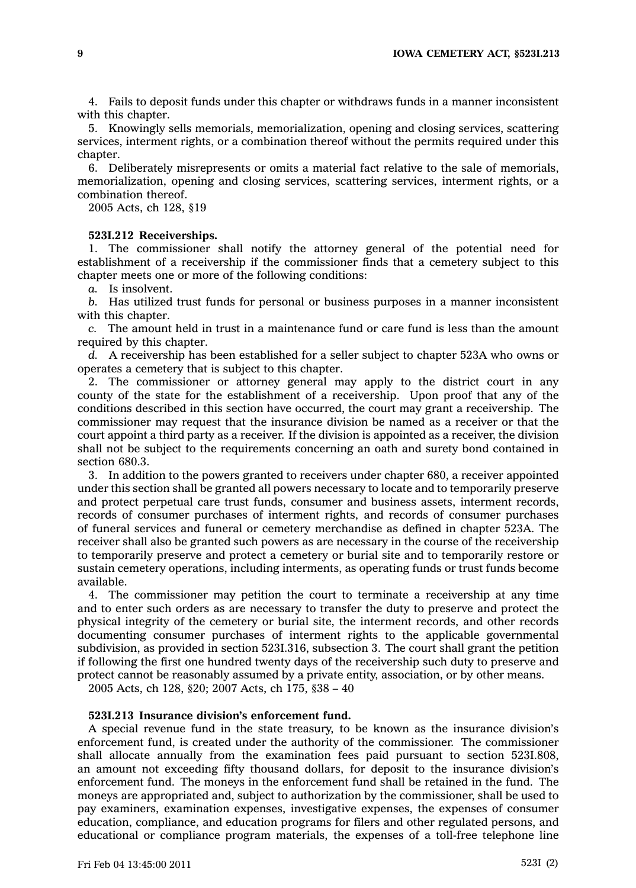4. Fails to deposit funds under this chapter or withdraws funds in <sup>a</sup> manner inconsistent with this chapter.

5. Knowingly sells memorials, memorialization, opening and closing services, scattering services, interment rights, or <sup>a</sup> combination thereof without the permits required under this chapter.

6. Deliberately misrepresents or omits <sup>a</sup> material fact relative to the sale of memorials, memorialization, opening and closing services, scattering services, interment rights, or <sup>a</sup> combination thereof.

2005 Acts, ch 128, §19

### **523I.212 Receiverships.**

1. The commissioner shall notify the attorney general of the potential need for establishment of <sup>a</sup> receivership if the commissioner finds that <sup>a</sup> cemetery subject to this chapter meets one or more of the following conditions:

*a.* Is insolvent.

*b.* Has utilized trust funds for personal or business purposes in <sup>a</sup> manner inconsistent with this chapter.

*c.* The amount held in trust in <sup>a</sup> maintenance fund or care fund is less than the amount required by this chapter.

*d.* A receivership has been established for <sup>a</sup> seller subject to chapter 523A who owns or operates <sup>a</sup> cemetery that is subject to this chapter.

2. The commissioner or attorney general may apply to the district court in any county of the state for the establishment of <sup>a</sup> receivership. Upon proof that any of the conditions described in this section have occurred, the court may grant <sup>a</sup> receivership. The commissioner may request that the insurance division be named as <sup>a</sup> receiver or that the court appoint <sup>a</sup> third party as <sup>a</sup> receiver. If the division is appointed as <sup>a</sup> receiver, the division shall not be subject to the requirements concerning an oath and surety bond contained in section 680.3.

3. In addition to the powers granted to receivers under chapter 680, <sup>a</sup> receiver appointed under this section shall be granted all powers necessary to locate and to temporarily preserve and protect perpetual care trust funds, consumer and business assets, interment records, records of consumer purchases of interment rights, and records of consumer purchases of funeral services and funeral or cemetery merchandise as defined in chapter 523A. The receiver shall also be granted such powers as are necessary in the course of the receivership to temporarily preserve and protect <sup>a</sup> cemetery or burial site and to temporarily restore or sustain cemetery operations, including interments, as operating funds or trust funds become available.

4. The commissioner may petition the court to terminate <sup>a</sup> receivership at any time and to enter such orders as are necessary to transfer the duty to preserve and protect the physical integrity of the cemetery or burial site, the interment records, and other records documenting consumer purchases of interment rights to the applicable governmental subdivision, as provided in section 523I.316, subsection 3. The court shall grant the petition if following the first one hundred twenty days of the receivership such duty to preserve and protect cannot be reasonably assumed by <sup>a</sup> private entity, association, or by other means.

2005 Acts, ch 128, §20; 2007 Acts, ch 175, §38 – 40

# **523I.213 Insurance division's enforcement fund.**

A special revenue fund in the state treasury, to be known as the insurance division's enforcement fund, is created under the authority of the commissioner. The commissioner shall allocate annually from the examination fees paid pursuant to section 523I.808, an amount not exceeding fifty thousand dollars, for deposit to the insurance division's enforcement fund. The moneys in the enforcement fund shall be retained in the fund. The moneys are appropriated and, subject to authorization by the commissioner, shall be used to pay examiners, examination expenses, investigative expenses, the expenses of consumer education, compliance, and education programs for filers and other regulated persons, and educational or compliance program materials, the expenses of <sup>a</sup> toll-free telephone line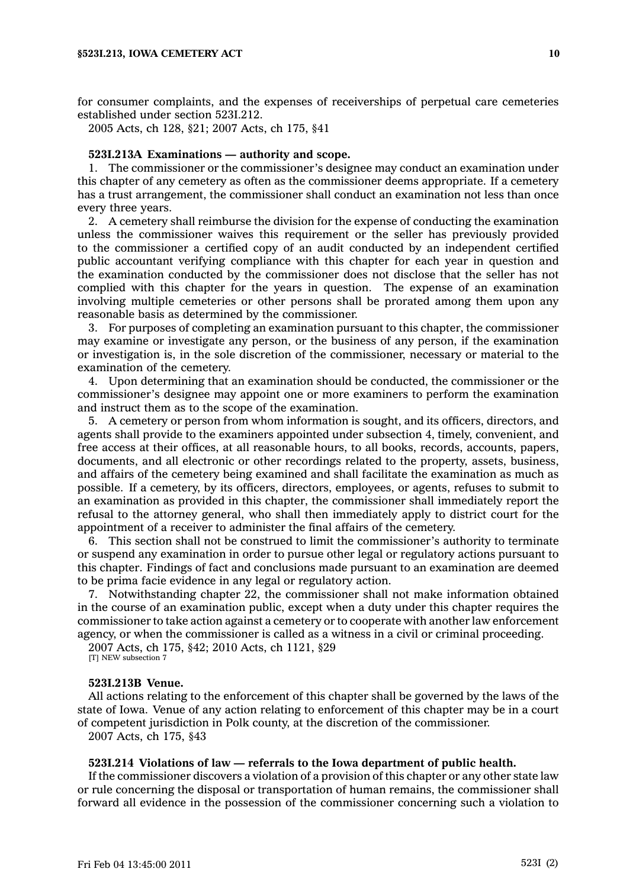for consumer complaints, and the expenses of receiverships of perpetual care cemeteries established under section 523I.212.

2005 Acts, ch 128, §21; 2007 Acts, ch 175, §41

# **523I.213A Examinations — authority and scope.**

1. The commissioner or the commissioner's designee may conduct an examination under this chapter of any cemetery as often as the commissioner deems appropriate. If <sup>a</sup> cemetery has <sup>a</sup> trust arrangement, the commissioner shall conduct an examination not less than once every three years.

2. A cemetery shall reimburse the division for the expense of conducting the examination unless the commissioner waives this requirement or the seller has previously provided to the commissioner <sup>a</sup> certified copy of an audit conducted by an independent certified public accountant verifying compliance with this chapter for each year in question and the examination conducted by the commissioner does not disclose that the seller has not complied with this chapter for the years in question. The expense of an examination involving multiple cemeteries or other persons shall be prorated among them upon any reasonable basis as determined by the commissioner.

3. For purposes of completing an examination pursuant to this chapter, the commissioner may examine or investigate any person, or the business of any person, if the examination or investigation is, in the sole discretion of the commissioner, necessary or material to the examination of the cemetery.

4. Upon determining that an examination should be conducted, the commissioner or the commissioner's designee may appoint one or more examiners to perform the examination and instruct them as to the scope of the examination.

5. A cemetery or person from whom information is sought, and its officers, directors, and agents shall provide to the examiners appointed under subsection 4, timely, convenient, and free access at their offices, at all reasonable hours, to all books, records, accounts, papers, documents, and all electronic or other recordings related to the property, assets, business, and affairs of the cemetery being examined and shall facilitate the examination as much as possible. If <sup>a</sup> cemetery, by its officers, directors, employees, or agents, refuses to submit to an examination as provided in this chapter, the commissioner shall immediately report the refusal to the attorney general, who shall then immediately apply to district court for the appointment of <sup>a</sup> receiver to administer the final affairs of the cemetery.

This section shall not be construed to limit the commissioner's authority to terminate or suspend any examination in order to pursue other legal or regulatory actions pursuant to this chapter. Findings of fact and conclusions made pursuant to an examination are deemed to be prima facie evidence in any legal or regulatory action.

7. Notwithstanding chapter 22, the commissioner shall not make information obtained in the course of an examination public, except when <sup>a</sup> duty under this chapter requires the commissioner to take action against <sup>a</sup> cemetery or to cooperate with another law enforcement agency, or when the commissioner is called as <sup>a</sup> witness in <sup>a</sup> civil or criminal proceeding.

2007 Acts, ch 175, §42; 2010 Acts, ch 1121, §29 [T] NEW subsection 7

#### **523I.213B Venue.**

All actions relating to the enforcement of this chapter shall be governed by the laws of the state of Iowa. Venue of any action relating to enforcement of this chapter may be in <sup>a</sup> court of competent jurisdiction in Polk county, at the discretion of the commissioner.

2007 Acts, ch 175, §43

#### **523I.214 Violations of law — referrals to the Iowa department of public health.**

If the commissioner discovers <sup>a</sup> violation of <sup>a</sup> provision of this chapter or any other state law or rule concerning the disposal or transportation of human remains, the commissioner shall forward all evidence in the possession of the commissioner concerning such <sup>a</sup> violation to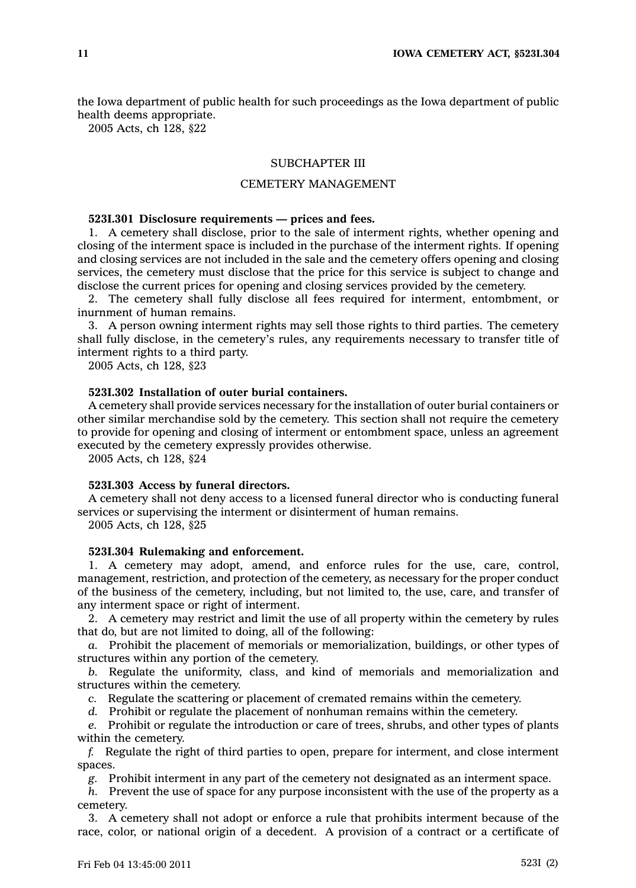the Iowa department of public health for such proceedings as the Iowa department of public health deems appropriate.

2005 Acts, ch 128, §22

# SUBCHAPTER III

# CEMETERY MANAGEMENT

### **523I.301 Disclosure requirements — prices and fees.**

1. A cemetery shall disclose, prior to the sale of interment rights, whether opening and closing of the interment space is included in the purchase of the interment rights. If opening and closing services are not included in the sale and the cemetery offers opening and closing services, the cemetery must disclose that the price for this service is subject to change and disclose the current prices for opening and closing services provided by the cemetery.

2. The cemetery shall fully disclose all fees required for interment, entombment, or inurnment of human remains.

3. A person owning interment rights may sell those rights to third parties. The cemetery shall fully disclose, in the cemetery's rules, any requirements necessary to transfer title of interment rights to <sup>a</sup> third party.

2005 Acts, ch 128, §23

# **523I.302 Installation of outer burial containers.**

A cemetery shall provide services necessary for the installation of outer burial containers or other similar merchandise sold by the cemetery. This section shall not require the cemetery to provide for opening and closing of interment or entombment space, unless an agreement executed by the cemetery expressly provides otherwise.

2005 Acts, ch 128, §24

#### **523I.303 Access by funeral directors.**

A cemetery shall not deny access to <sup>a</sup> licensed funeral director who is conducting funeral services or supervising the interment or disinterment of human remains.

2005 Acts, ch 128, §25

# **523I.304 Rulemaking and enforcement.**

1. A cemetery may adopt, amend, and enforce rules for the use, care, control, management, restriction, and protection of the cemetery, as necessary for the proper conduct of the business of the cemetery, including, but not limited to, the use, care, and transfer of any interment space or right of interment.

2. A cemetery may restrict and limit the use of all property within the cemetery by rules that do, but are not limited to doing, all of the following:

*a.* Prohibit the placement of memorials or memorialization, buildings, or other types of structures within any portion of the cemetery.

*b.* Regulate the uniformity, class, and kind of memorials and memorialization and structures within the cemetery.

*c.* Regulate the scattering or placement of cremated remains within the cemetery.

*d.* Prohibit or regulate the placement of nonhuman remains within the cemetery.

*e.* Prohibit or regulate the introduction or care of trees, shrubs, and other types of plants within the cemetery.

*f.* Regulate the right of third parties to open, prepare for interment, and close interment spaces.

*g.* Prohibit interment in any part of the cemetery not designated as an interment space.

*h.* Prevent the use of space for any purpose inconsistent with the use of the property as <sup>a</sup> cemetery.

3. A cemetery shall not adopt or enforce <sup>a</sup> rule that prohibits interment because of the race, color, or national origin of <sup>a</sup> decedent. A provision of <sup>a</sup> contract or <sup>a</sup> certificate of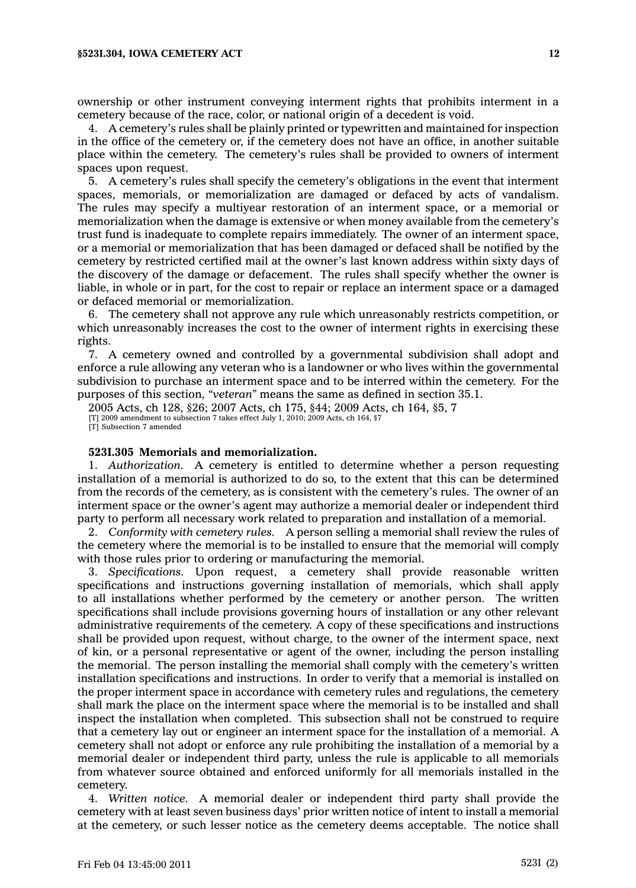ownership or other instrument conveying interment rights that prohibits interment in <sup>a</sup> cemetery because of the race, color, or national origin of <sup>a</sup> decedent is void.

4. A cemetery's rules shall be plainly printed or typewritten and maintained for inspection in the office of the cemetery or, if the cemetery does not have an office, in another suitable place within the cemetery. The cemetery's rules shall be provided to owners of interment spaces upon request.

5. A cemetery's rules shall specify the cemetery's obligations in the event that interment spaces, memorials, or memorialization are damaged or defaced by acts of vandalism. The rules may specify <sup>a</sup> multiyear restoration of an interment space, or <sup>a</sup> memorial or memorialization when the damage is extensive or when money available from the cemetery's trust fund is inadequate to complete repairs immediately. The owner of an interment space, or <sup>a</sup> memorial or memorialization that has been damaged or defaced shall be notified by the cemetery by restricted certified mail at the owner's last known address within sixty days of the discovery of the damage or defacement. The rules shall specify whether the owner is liable, in whole or in part, for the cost to repair or replace an interment space or <sup>a</sup> damaged or defaced memorial or memorialization.

6. The cemetery shall not approve any rule which unreasonably restricts competition, or which unreasonably increases the cost to the owner of interment rights in exercising these rights.

7. A cemetery owned and controlled by <sup>a</sup> governmental subdivision shall adopt and enforce <sup>a</sup> rule allowing any veteran who is <sup>a</sup> landowner or who lives within the governmental subdivision to purchase an interment space and to be interred within the cemetery. For the purposes of this section, *"veteran"* means the same as defined in section 35.1.

2005 Acts, ch 128, §26; 2007 Acts, ch 175, §44; 2009 Acts, ch 164, §5, 7 [T] 2009 amendment to subsection 7 takes effect July 1, 2010; 2009 Acts, ch 164, §7 [T] Subsection 7 amended

# **523I.305 Memorials and memorialization.**

1. *Authorization.* A cemetery is entitled to determine whether <sup>a</sup> person requesting installation of <sup>a</sup> memorial is authorized to do so, to the extent that this can be determined from the records of the cemetery, as is consistent with the cemetery's rules. The owner of an interment space or the owner's agent may authorize <sup>a</sup> memorial dealer or independent third party to perform all necessary work related to preparation and installation of <sup>a</sup> memorial.

2. *Conformity with cemetery rules.* A person selling <sup>a</sup> memorial shall review the rules of the cemetery where the memorial is to be installed to ensure that the memorial will comply with those rules prior to ordering or manufacturing the memorial.

3. *Specifications.* Upon request, <sup>a</sup> cemetery shall provide reasonable written specifications and instructions governing installation of memorials, which shall apply to all installations whether performed by the cemetery or another person. The written specifications shall include provisions governing hours of installation or any other relevant administrative requirements of the cemetery. A copy of these specifications and instructions shall be provided upon request, without charge, to the owner of the interment space, next of kin, or <sup>a</sup> personal representative or agent of the owner, including the person installing the memorial. The person installing the memorial shall comply with the cemetery's written installation specifications and instructions. In order to verify that <sup>a</sup> memorial is installed on the proper interment space in accordance with cemetery rules and regulations, the cemetery shall mark the place on the interment space where the memorial is to be installed and shall inspect the installation when completed. This subsection shall not be construed to require that <sup>a</sup> cemetery lay out or engineer an interment space for the installation of <sup>a</sup> memorial. A cemetery shall not adopt or enforce any rule prohibiting the installation of <sup>a</sup> memorial by <sup>a</sup> memorial dealer or independent third party, unless the rule is applicable to all memorials from whatever source obtained and enforced uniformly for all memorials installed in the cemetery.

4. *Written notice.* A memorial dealer or independent third party shall provide the cemetery with at least seven business days' prior written notice of intent to install <sup>a</sup> memorial at the cemetery, or such lesser notice as the cemetery deems acceptable. The notice shall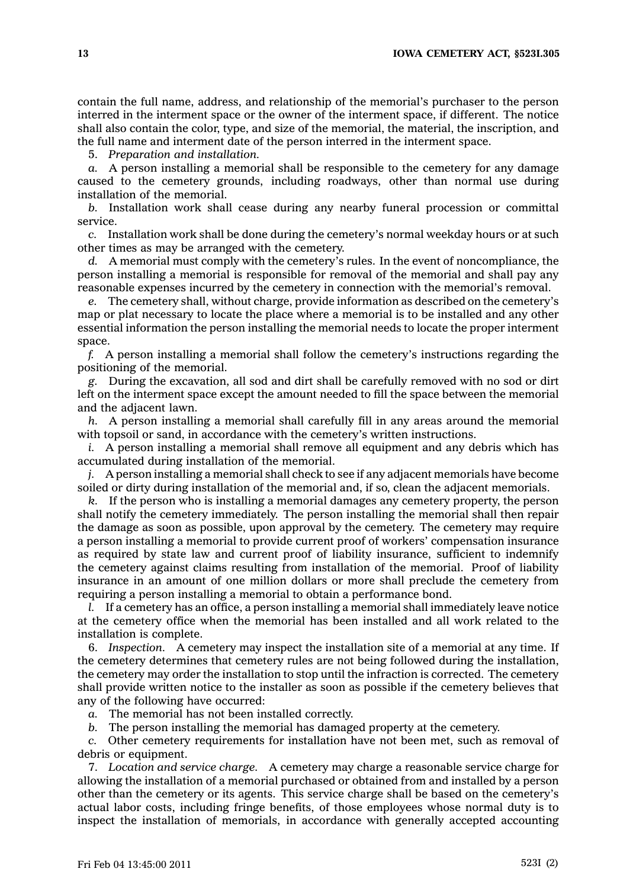contain the full name, address, and relationship of the memorial's purchaser to the person interred in the interment space or the owner of the interment space, if different. The notice shall also contain the color, type, and size of the memorial, the material, the inscription, and the full name and interment date of the person interred in the interment space.

5. *Preparation and installation.*

*a.* A person installing <sup>a</sup> memorial shall be responsible to the cemetery for any damage caused to the cemetery grounds, including roadways, other than normal use during installation of the memorial.

*b.* Installation work shall cease during any nearby funeral procession or committal service.

*c.* Installation work shall be done during the cemetery's normal weekday hours or at such other times as may be arranged with the cemetery.

*d.* A memorial must comply with the cemetery's rules. In the event of noncompliance, the person installing <sup>a</sup> memorial is responsible for removal of the memorial and shall pay any reasonable expenses incurred by the cemetery in connection with the memorial's removal.

*e.* The cemetery shall, without charge, provide information as described on the cemetery's map or plat necessary to locate the place where <sup>a</sup> memorial is to be installed and any other essential information the person installing the memorial needs to locate the proper interment space.

*f.* A person installing <sup>a</sup> memorial shall follow the cemetery's instructions regarding the positioning of the memorial.

*g.* During the excavation, all sod and dirt shall be carefully removed with no sod or dirt left on the interment space except the amount needed to fill the space between the memorial and the adjacent lawn.

*h.* A person installing <sup>a</sup> memorial shall carefully fill in any areas around the memorial with topsoil or sand, in accordance with the cemetery's written instructions.

*i.* A person installing <sup>a</sup> memorial shall remove all equipment and any debris which has accumulated during installation of the memorial.

*j.* A person installing <sup>a</sup> memorial shall check to see if any adjacent memorials have become soiled or dirty during installation of the memorial and, if so, clean the adjacent memorials.

*k.* If the person who is installing <sup>a</sup> memorial damages any cemetery property, the person shall notify the cemetery immediately. The person installing the memorial shall then repair the damage as soon as possible, upon approval by the cemetery. The cemetery may require <sup>a</sup> person installing <sup>a</sup> memorial to provide current proof of workers' compensation insurance as required by state law and current proof of liability insurance, sufficient to indemnify the cemetery against claims resulting from installation of the memorial. Proof of liability insurance in an amount of one million dollars or more shall preclude the cemetery from requiring <sup>a</sup> person installing <sup>a</sup> memorial to obtain <sup>a</sup> performance bond.

*l.* If <sup>a</sup> cemetery has an office, <sup>a</sup> person installing <sup>a</sup> memorial shall immediately leave notice at the cemetery office when the memorial has been installed and all work related to the installation is complete.

6. *Inspection.* A cemetery may inspect the installation site of <sup>a</sup> memorial at any time. If the cemetery determines that cemetery rules are not being followed during the installation, the cemetery may order the installation to stop until the infraction is corrected. The cemetery shall provide written notice to the installer as soon as possible if the cemetery believes that any of the following have occurred:

*a.* The memorial has not been installed correctly.

*b.* The person installing the memorial has damaged property at the cemetery.

*c.* Other cemetery requirements for installation have not been met, such as removal of debris or equipment.

7. *Location and service charge.* A cemetery may charge <sup>a</sup> reasonable service charge for allowing the installation of <sup>a</sup> memorial purchased or obtained from and installed by <sup>a</sup> person other than the cemetery or its agents. This service charge shall be based on the cemetery's actual labor costs, including fringe benefits, of those employees whose normal duty is to inspect the installation of memorials, in accordance with generally accepted accounting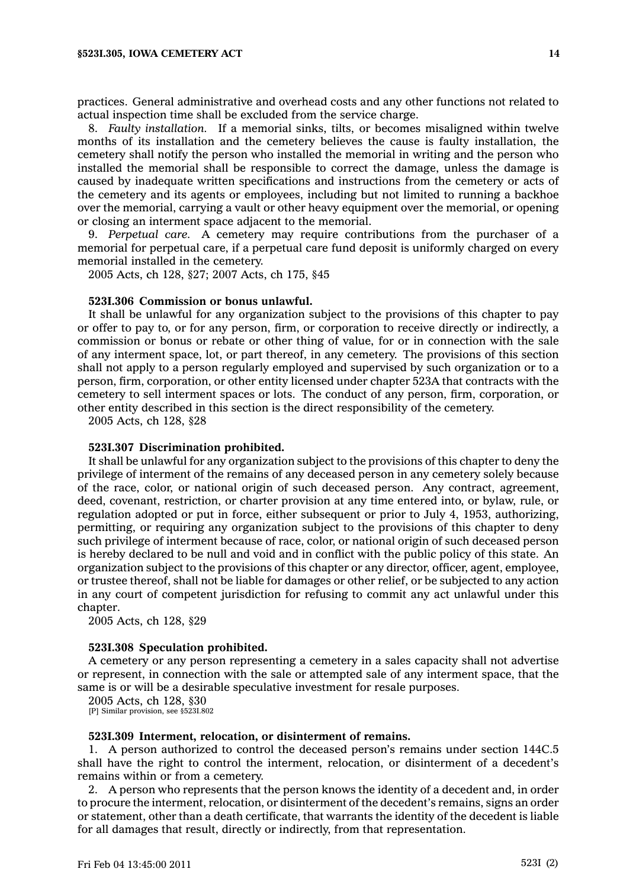practices. General administrative and overhead costs and any other functions not related to actual inspection time shall be excluded from the service charge.

8. *Faulty installation.* If <sup>a</sup> memorial sinks, tilts, or becomes misaligned within twelve months of its installation and the cemetery believes the cause is faulty installation, the cemetery shall notify the person who installed the memorial in writing and the person who installed the memorial shall be responsible to correct the damage, unless the damage is caused by inadequate written specifications and instructions from the cemetery or acts of the cemetery and its agents or employees, including but not limited to running <sup>a</sup> backhoe over the memorial, carrying <sup>a</sup> vault or other heavy equipment over the memorial, or opening or closing an interment space adjacent to the memorial.

9. *Perpetual care.* A cemetery may require contributions from the purchaser of <sup>a</sup> memorial for perpetual care, if <sup>a</sup> perpetual care fund deposit is uniformly charged on every memorial installed in the cemetery.

2005 Acts, ch 128, §27; 2007 Acts, ch 175, §45

#### **523I.306 Commission or bonus unlawful.**

It shall be unlawful for any organization subject to the provisions of this chapter to pay or offer to pay to, or for any person, firm, or corporation to receive directly or indirectly, <sup>a</sup> commission or bonus or rebate or other thing of value, for or in connection with the sale of any interment space, lot, or part thereof, in any cemetery. The provisions of this section shall not apply to <sup>a</sup> person regularly employed and supervised by such organization or to <sup>a</sup> person, firm, corporation, or other entity licensed under chapter 523A that contracts with the cemetery to sell interment spaces or lots. The conduct of any person, firm, corporation, or other entity described in this section is the direct responsibility of the cemetery.

2005 Acts, ch 128, §28

### **523I.307 Discrimination prohibited.**

It shall be unlawful for any organization subject to the provisions of this chapter to deny the privilege of interment of the remains of any deceased person in any cemetery solely because of the race, color, or national origin of such deceased person. Any contract, agreement, deed, covenant, restriction, or charter provision at any time entered into, or bylaw, rule, or regulation adopted or put in force, either subsequent or prior to July 4, 1953, authorizing, permitting, or requiring any organization subject to the provisions of this chapter to deny such privilege of interment because of race, color, or national origin of such deceased person is hereby declared to be null and void and in conflict with the public policy of this state. An organization subject to the provisions of this chapter or any director, officer, agent, employee, or trustee thereof, shall not be liable for damages or other relief, or be subjected to any action in any court of competent jurisdiction for refusing to commit any act unlawful under this chapter.

2005 Acts, ch 128, §29

#### **523I.308 Speculation prohibited.**

A cemetery or any person representing <sup>a</sup> cemetery in <sup>a</sup> sales capacity shall not advertise or represent, in connection with the sale or attempted sale of any interment space, that the same is or will be <sup>a</sup> desirable speculative investment for resale purposes.

2005 Acts, ch 128, §30

[P] Similar provision, see §523I.802

#### **523I.309 Interment, relocation, or disinterment of remains.**

1. A person authorized to control the deceased person's remains under section 144C.5 shall have the right to control the interment, relocation, or disinterment of <sup>a</sup> decedent's remains within or from <sup>a</sup> cemetery.

2. A person who represents that the person knows the identity of <sup>a</sup> decedent and, in order to procure the interment, relocation, or disinterment of the decedent's remains, signs an order or statement, other than <sup>a</sup> death certificate, that warrants the identity of the decedent is liable for all damages that result, directly or indirectly, from that representation.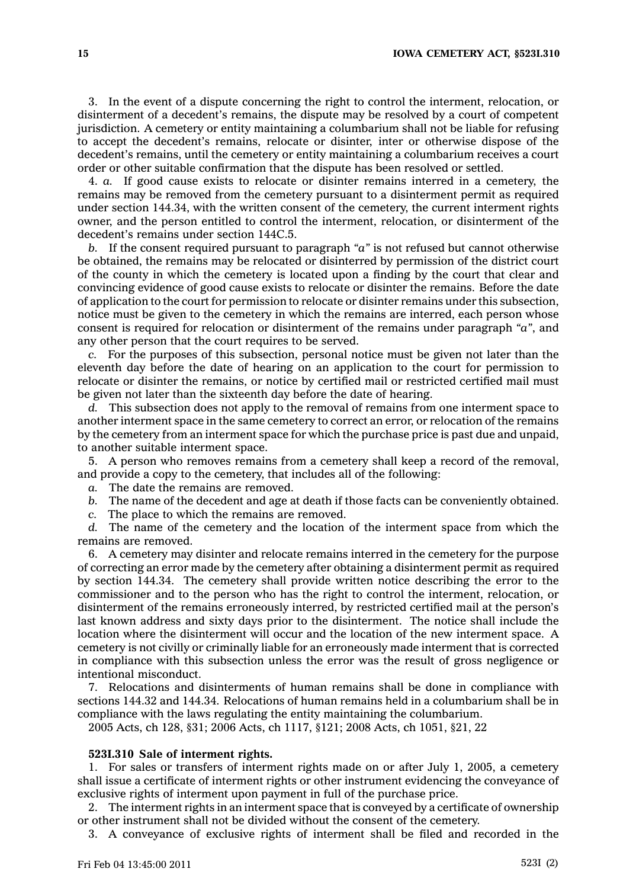3. In the event of <sup>a</sup> dispute concerning the right to control the interment, relocation, or disinterment of <sup>a</sup> decedent's remains, the dispute may be resolved by <sup>a</sup> court of competent jurisdiction. A cemetery or entity maintaining <sup>a</sup> columbarium shall not be liable for refusing to accept the decedent's remains, relocate or disinter, inter or otherwise dispose of the decedent's remains, until the cemetery or entity maintaining <sup>a</sup> columbarium receives <sup>a</sup> court order or other suitable confirmation that the dispute has been resolved or settled.

4. *a.* If good cause exists to relocate or disinter remains interred in <sup>a</sup> cemetery, the remains may be removed from the cemetery pursuant to <sup>a</sup> disinterment permit as required under section 144.34, with the written consent of the cemetery, the current interment rights owner, and the person entitled to control the interment, relocation, or disinterment of the decedent's remains under section 144C.5.

*b.* If the consent required pursuant to paragraph *"a"* is not refused but cannot otherwise be obtained, the remains may be relocated or disinterred by permission of the district court of the county in which the cemetery is located upon <sup>a</sup> finding by the court that clear and convincing evidence of good cause exists to relocate or disinter the remains. Before the date of application to the court for permission to relocate or disinter remains under this subsection, notice must be given to the cemetery in which the remains are interred, each person whose consent is required for relocation or disinterment of the remains under paragraph *"a"*, and any other person that the court requires to be served.

*c.* For the purposes of this subsection, personal notice must be given not later than the eleventh day before the date of hearing on an application to the court for permission to relocate or disinter the remains, or notice by certified mail or restricted certified mail must be given not later than the sixteenth day before the date of hearing.

*d.* This subsection does not apply to the removal of remains from one interment space to another interment space in the same cemetery to correct an error, or relocation of the remains by the cemetery from an interment space for which the purchase price is past due and unpaid, to another suitable interment space.

5. A person who removes remains from <sup>a</sup> cemetery shall keep <sup>a</sup> record of the removal, and provide <sup>a</sup> copy to the cemetery, that includes all of the following:

*a.* The date the remains are removed.

*b.* The name of the decedent and age at death if those facts can be conveniently obtained.

*c.* The place to which the remains are removed.

*d.* The name of the cemetery and the location of the interment space from which the remains are removed.

6. A cemetery may disinter and relocate remains interred in the cemetery for the purpose of correcting an error made by the cemetery after obtaining <sup>a</sup> disinterment permit as required by section 144.34. The cemetery shall provide written notice describing the error to the commissioner and to the person who has the right to control the interment, relocation, or disinterment of the remains erroneously interred, by restricted certified mail at the person's last known address and sixty days prior to the disinterment. The notice shall include the location where the disinterment will occur and the location of the new interment space. A cemetery is not civilly or criminally liable for an erroneously made interment that is corrected in compliance with this subsection unless the error was the result of gross negligence or intentional misconduct.

7. Relocations and disinterments of human remains shall be done in compliance with sections 144.32 and 144.34. Relocations of human remains held in <sup>a</sup> columbarium shall be in compliance with the laws regulating the entity maintaining the columbarium.

2005 Acts, ch 128, §31; 2006 Acts, ch 1117, §121; 2008 Acts, ch 1051, §21, 22

### **523I.310 Sale of interment rights.**

1. For sales or transfers of interment rights made on or after July 1, 2005, <sup>a</sup> cemetery shall issue <sup>a</sup> certificate of interment rights or other instrument evidencing the conveyance of exclusive rights of interment upon payment in full of the purchase price.

2. The interment rights in an interment space that is conveyed by <sup>a</sup> certificate of ownership or other instrument shall not be divided without the consent of the cemetery.

3. A conveyance of exclusive rights of interment shall be filed and recorded in the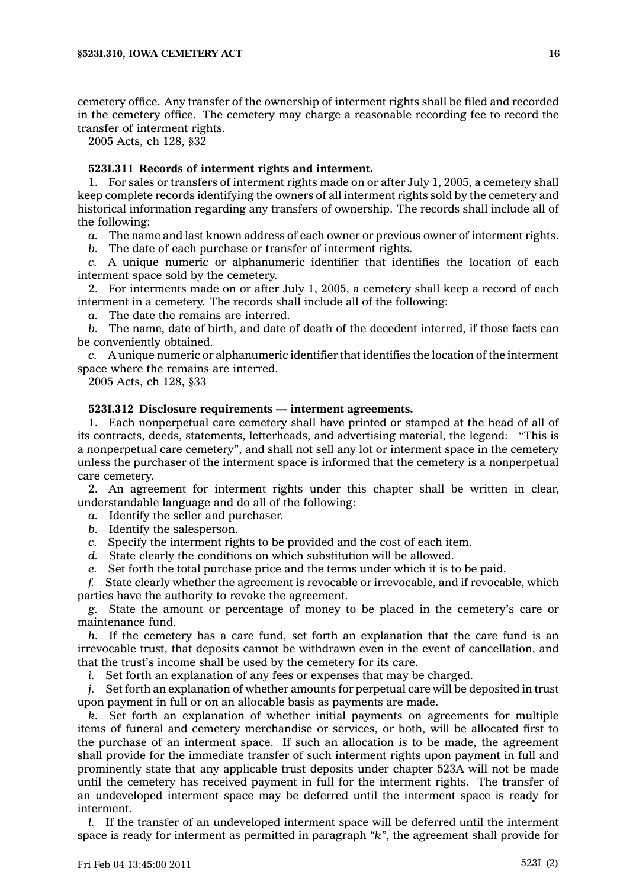cemetery office. Any transfer of the ownership of interment rights shall be filed and recorded in the cemetery office. The cemetery may charge <sup>a</sup> reasonable recording fee to record the transfer of interment rights.

2005 Acts, ch 128, §32

### **523I.311 Records of interment rights and interment.**

1. For sales or transfers of interment rights made on or after July 1, 2005, <sup>a</sup> cemetery shall keep complete records identifying the owners of all interment rights sold by the cemetery and historical information regarding any transfers of ownership. The records shall include all of the following:

*a.* The name and last known address of each owner or previous owner of interment rights.

*b.* The date of each purchase or transfer of interment rights.

*c.* A unique numeric or alphanumeric identifier that identifies the location of each interment space sold by the cemetery.

2. For interments made on or after July 1, 2005, <sup>a</sup> cemetery shall keep <sup>a</sup> record of each interment in <sup>a</sup> cemetery. The records shall include all of the following:

*a.* The date the remains are interred.

*b.* The name, date of birth, and date of death of the decedent interred, if those facts can be conveniently obtained.

*c.* A unique numeric or alphanumeric identifier that identifies the location of the interment space where the remains are interred.

2005 Acts, ch 128, §33

### **523I.312 Disclosure requirements — interment agreements.**

1. Each nonperpetual care cemetery shall have printed or stamped at the head of all of its contracts, deeds, statements, letterheads, and advertising material, the legend: "This is <sup>a</sup> nonperpetual care cemetery", and shall not sell any lot or interment space in the cemetery unless the purchaser of the interment space is informed that the cemetery is <sup>a</sup> nonperpetual care cemetery.

2. An agreement for interment rights under this chapter shall be written in clear, understandable language and do all of the following:

*a.* Identify the seller and purchaser.

*b.* Identify the salesperson.

*c.* Specify the interment rights to be provided and the cost of each item.

*d.* State clearly the conditions on which substitution will be allowed.

*e.* Set forth the total purchase price and the terms under which it is to be paid.

*f.* State clearly whether the agreement is revocable or irrevocable, and if revocable, which parties have the authority to revoke the agreement.

*g.* State the amount or percentage of money to be placed in the cemetery's care or maintenance fund.

*h.* If the cemetery has <sup>a</sup> care fund, set forth an explanation that the care fund is an irrevocable trust, that deposits cannot be withdrawn even in the event of cancellation, and that the trust's income shall be used by the cemetery for its care.

*i.* Set forth an explanation of any fees or expenses that may be charged.

*j.* Set forth an explanation of whether amounts for perpetual care will be deposited in trust upon payment in full or on an allocable basis as payments are made.

*k.* Set forth an explanation of whether initial payments on agreements for multiple items of funeral and cemetery merchandise or services, or both, will be allocated first to the purchase of an interment space. If such an allocation is to be made, the agreement shall provide for the immediate transfer of such interment rights upon payment in full and prominently state that any applicable trust deposits under chapter 523A will not be made until the cemetery has received payment in full for the interment rights. The transfer of an undeveloped interment space may be deferred until the interment space is ready for interment.

*l.* If the transfer of an undeveloped interment space will be deferred until the interment space is ready for interment as permitted in paragraph *"k"*, the agreement shall provide for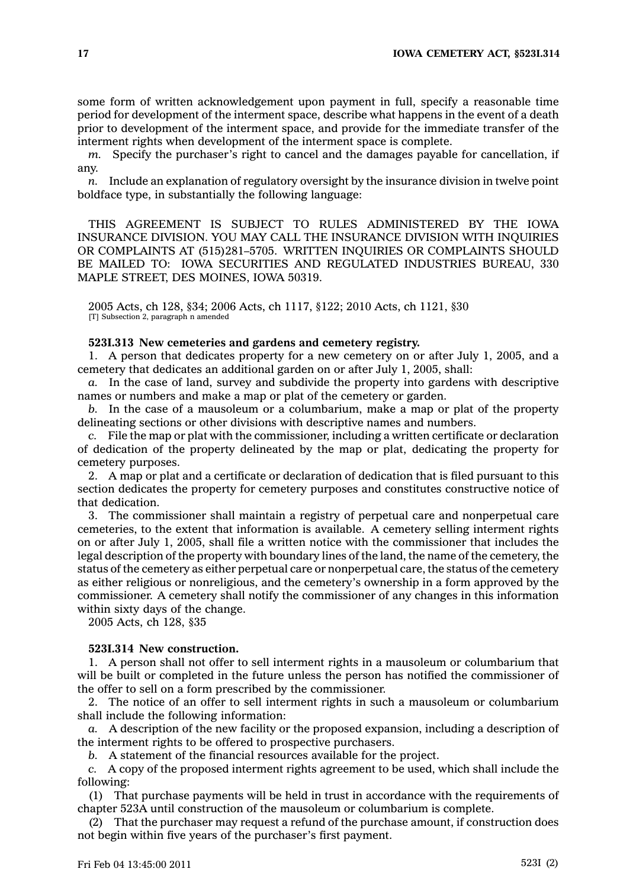some form of written acknowledgement upon payment in full, specify <sup>a</sup> reasonable time period for development of the interment space, describe what happens in the event of <sup>a</sup> death prior to development of the interment space, and provide for the immediate transfer of the interment rights when development of the interment space is complete.

*m.* Specify the purchaser's right to cancel and the damages payable for cancellation, if any.

*n.* Include an explanation of regulatory oversight by the insurance division in twelve point boldface type, in substantially the following language:

THIS AGREEMENT IS SUBJECT TO RULES ADMINISTERED BY THE IOWA INSURANCE DIVISION. YOU MAY CALL THE INSURANCE DIVISION WITH INQUIRIES OR COMPLAINTS AT (515)281–5705. WRITTEN INQUIRIES OR COMPLAINTS SHOULD BE MAILED TO: IOWA SECURITIES AND REGULATED INDUSTRIES BUREAU, 330 MAPLE STREET, DES MOINES, IOWA 50319.

2005 Acts, ch 128, §34; 2006 Acts, ch 1117, §122; 2010 Acts, ch 1121, §30 [T] Subsection 2, paragraph n amended

### **523I.313 New cemeteries and gardens and cemetery registry.**

1. A person that dedicates property for <sup>a</sup> new cemetery on or after July 1, 2005, and <sup>a</sup> cemetery that dedicates an additional garden on or after July 1, 2005, shall:

*a.* In the case of land, survey and subdivide the property into gardens with descriptive names or numbers and make <sup>a</sup> map or plat of the cemetery or garden.

*b.* In the case of <sup>a</sup> mausoleum or <sup>a</sup> columbarium, make <sup>a</sup> map or plat of the property delineating sections or other divisions with descriptive names and numbers.

*c.* File the map or plat with the commissioner, including <sup>a</sup> written certificate or declaration of dedication of the property delineated by the map or plat, dedicating the property for cemetery purposes.

2. A map or plat and <sup>a</sup> certificate or declaration of dedication that is filed pursuant to this section dedicates the property for cemetery purposes and constitutes constructive notice of that dedication.

3. The commissioner shall maintain <sup>a</sup> registry of perpetual care and nonperpetual care cemeteries, to the extent that information is available. A cemetery selling interment rights on or after July 1, 2005, shall file <sup>a</sup> written notice with the commissioner that includes the legal description of the property with boundary lines of the land, the name of the cemetery, the status of the cemetery as either perpetual care or nonperpetual care, the status of the cemetery as either religious or nonreligious, and the cemetery's ownership in <sup>a</sup> form approved by the commissioner. A cemetery shall notify the commissioner of any changes in this information within sixty days of the change.

2005 Acts, ch 128, §35

### **523I.314 New construction.**

1. A person shall not offer to sell interment rights in <sup>a</sup> mausoleum or columbarium that will be built or completed in the future unless the person has notified the commissioner of the offer to sell on <sup>a</sup> form prescribed by the commissioner.

2. The notice of an offer to sell interment rights in such <sup>a</sup> mausoleum or columbarium shall include the following information:

*a.* A description of the new facility or the proposed expansion, including <sup>a</sup> description of the interment rights to be offered to prospective purchasers.

*b.* A statement of the financial resources available for the project.

*c.* A copy of the proposed interment rights agreement to be used, which shall include the following:

(1) That purchase payments will be held in trust in accordance with the requirements of chapter 523A until construction of the mausoleum or columbarium is complete.

(2) That the purchaser may request <sup>a</sup> refund of the purchase amount, if construction does not begin within five years of the purchaser's first payment.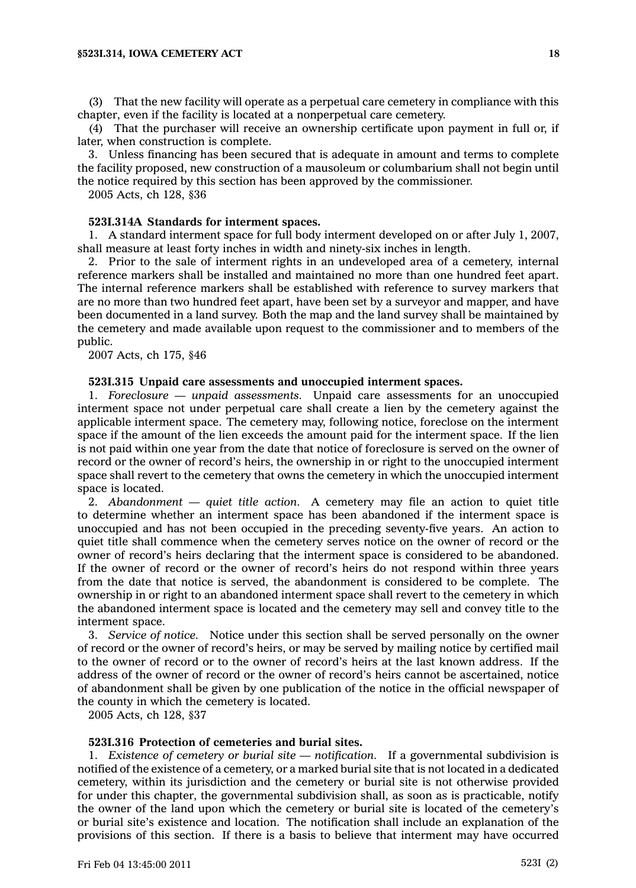(3) That the new facility will operate as <sup>a</sup> perpetual care cemetery in compliance with this chapter, even if the facility is located at <sup>a</sup> nonperpetual care cemetery.

(4) That the purchaser will receive an ownership certificate upon payment in full or, if later, when construction is complete.

3. Unless financing has been secured that is adequate in amount and terms to complete the facility proposed, new construction of <sup>a</sup> mausoleum or columbarium shall not begin until the notice required by this section has been approved by the commissioner.

2005 Acts, ch 128, §36

### **523I.314A Standards for interment spaces.**

1. A standard interment space for full body interment developed on or after July 1, 2007, shall measure at least forty inches in width and ninety-six inches in length.

2. Prior to the sale of interment rights in an undeveloped area of <sup>a</sup> cemetery, internal reference markers shall be installed and maintained no more than one hundred feet apart. The internal reference markers shall be established with reference to survey markers that are no more than two hundred feet apart, have been set by <sup>a</sup> surveyor and mapper, and have been documented in <sup>a</sup> land survey. Both the map and the land survey shall be maintained by the cemetery and made available upon request to the commissioner and to members of the public.

2007 Acts, ch 175, §46

#### **523I.315 Unpaid care assessments and unoccupied interment spaces.**

1. *Foreclosure — unpaid assessments.* Unpaid care assessments for an unoccupied interment space not under perpetual care shall create <sup>a</sup> lien by the cemetery against the applicable interment space. The cemetery may, following notice, foreclose on the interment space if the amount of the lien exceeds the amount paid for the interment space. If the lien is not paid within one year from the date that notice of foreclosure is served on the owner of record or the owner of record's heirs, the ownership in or right to the unoccupied interment space shall revert to the cemetery that owns the cemetery in which the unoccupied interment space is located.

2. *Abandonment — quiet title action.* A cemetery may file an action to quiet title to determine whether an interment space has been abandoned if the interment space is unoccupied and has not been occupied in the preceding seventy-five years. An action to quiet title shall commence when the cemetery serves notice on the owner of record or the owner of record's heirs declaring that the interment space is considered to be abandoned. If the owner of record or the owner of record's heirs do not respond within three years from the date that notice is served, the abandonment is considered to be complete. The ownership in or right to an abandoned interment space shall revert to the cemetery in which the abandoned interment space is located and the cemetery may sell and convey title to the interment space.

3. *Service of notice.* Notice under this section shall be served personally on the owner of record or the owner of record's heirs, or may be served by mailing notice by certified mail to the owner of record or to the owner of record's heirs at the last known address. If the address of the owner of record or the owner of record's heirs cannot be ascertained, notice of abandonment shall be given by one publication of the notice in the official newspaper of the county in which the cemetery is located.

2005 Acts, ch 128, §37

# **523I.316 Protection of cemeteries and burial sites.**

1. *Existence of cemetery or burial site — notification.* If <sup>a</sup> governmental subdivision is notified of the existence of <sup>a</sup> cemetery, or <sup>a</sup> marked burial site that is not located in <sup>a</sup> dedicated cemetery, within its jurisdiction and the cemetery or burial site is not otherwise provided for under this chapter, the governmental subdivision shall, as soon as is practicable, notify the owner of the land upon which the cemetery or burial site is located of the cemetery's or burial site's existence and location. The notification shall include an explanation of the provisions of this section. If there is <sup>a</sup> basis to believe that interment may have occurred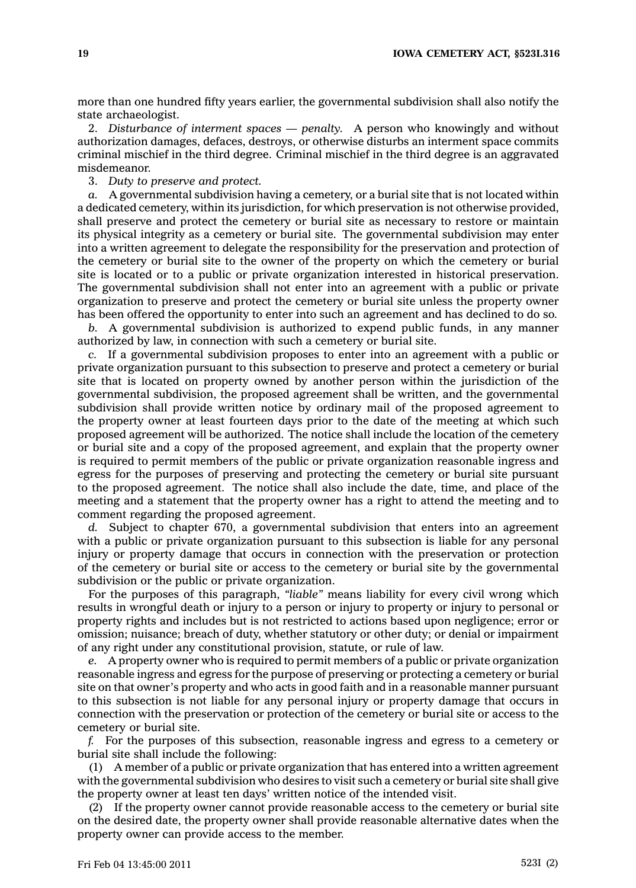more than one hundred fifty years earlier, the governmental subdivision shall also notify the state archaeologist.

2. *Disturbance of interment spaces — penalty.* A person who knowingly and without authorization damages, defaces, destroys, or otherwise disturbs an interment space commits criminal mischief in the third degree. Criminal mischief in the third degree is an aggravated misdemeanor.

3. *Duty to preserve and protect.*

*a.* A governmental subdivision having <sup>a</sup> cemetery, or <sup>a</sup> burial site that is not located within <sup>a</sup> dedicated cemetery, within its jurisdiction, for which preservation is not otherwise provided, shall preserve and protect the cemetery or burial site as necessary to restore or maintain its physical integrity as <sup>a</sup> cemetery or burial site. The governmental subdivision may enter into <sup>a</sup> written agreement to delegate the responsibility for the preservation and protection of the cemetery or burial site to the owner of the property on which the cemetery or burial site is located or to <sup>a</sup> public or private organization interested in historical preservation. The governmental subdivision shall not enter into an agreement with <sup>a</sup> public or private organization to preserve and protect the cemetery or burial site unless the property owner has been offered the opportunity to enter into such an agreement and has declined to do so.

*b.* A governmental subdivision is authorized to expend public funds, in any manner authorized by law, in connection with such <sup>a</sup> cemetery or burial site.

*c.* If <sup>a</sup> governmental subdivision proposes to enter into an agreement with <sup>a</sup> public or private organization pursuant to this subsection to preserve and protect <sup>a</sup> cemetery or burial site that is located on property owned by another person within the jurisdiction of the governmental subdivision, the proposed agreement shall be written, and the governmental subdivision shall provide written notice by ordinary mail of the proposed agreement to the property owner at least fourteen days prior to the date of the meeting at which such proposed agreement will be authorized. The notice shall include the location of the cemetery or burial site and <sup>a</sup> copy of the proposed agreement, and explain that the property owner is required to permit members of the public or private organization reasonable ingress and egress for the purposes of preserving and protecting the cemetery or burial site pursuant to the proposed agreement. The notice shall also include the date, time, and place of the meeting and <sup>a</sup> statement that the property owner has <sup>a</sup> right to attend the meeting and to comment regarding the proposed agreement.

*d.* Subject to chapter 670, <sup>a</sup> governmental subdivision that enters into an agreement with <sup>a</sup> public or private organization pursuant to this subsection is liable for any personal injury or property damage that occurs in connection with the preservation or protection of the cemetery or burial site or access to the cemetery or burial site by the governmental subdivision or the public or private organization.

For the purposes of this paragraph, *"liable"* means liability for every civil wrong which results in wrongful death or injury to <sup>a</sup> person or injury to property or injury to personal or property rights and includes but is not restricted to actions based upon negligence; error or omission; nuisance; breach of duty, whether statutory or other duty; or denial or impairment of any right under any constitutional provision, statute, or rule of law.

*e.* A property owner who is required to permit members of <sup>a</sup> public or private organization reasonable ingress and egress for the purpose of preserving or protecting <sup>a</sup> cemetery or burial site on that owner's property and who acts in good faith and in <sup>a</sup> reasonable manner pursuant to this subsection is not liable for any personal injury or property damage that occurs in connection with the preservation or protection of the cemetery or burial site or access to the cemetery or burial site.

*f.* For the purposes of this subsection, reasonable ingress and egress to <sup>a</sup> cemetery or burial site shall include the following:

(1) A member of <sup>a</sup> public or private organization that has entered into <sup>a</sup> written agreement with the governmental subdivision who desires to visit such <sup>a</sup> cemetery or burial site shall give the property owner at least ten days' written notice of the intended visit.

(2) If the property owner cannot provide reasonable access to the cemetery or burial site on the desired date, the property owner shall provide reasonable alternative dates when the property owner can provide access to the member.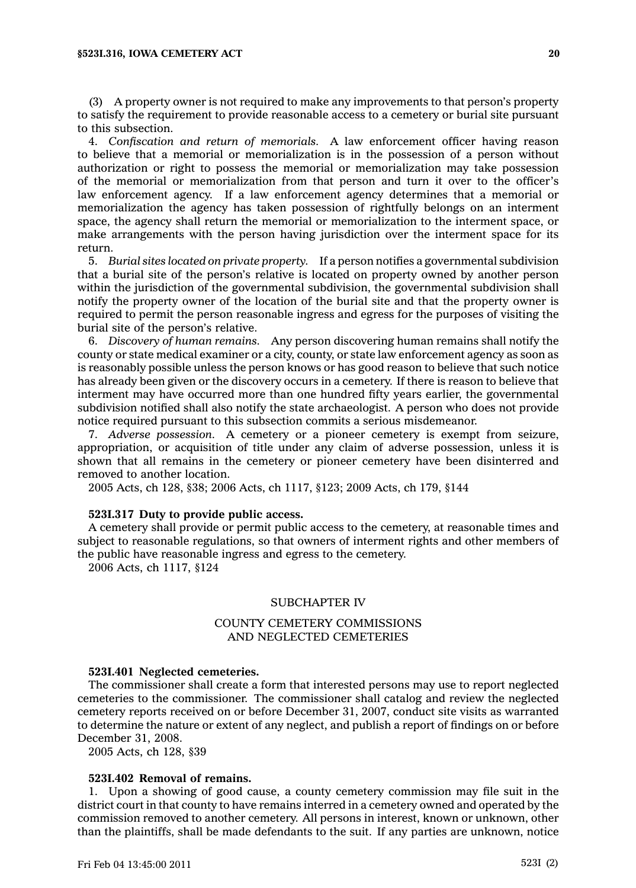(3) A property owner is not required to make any improvements to that person's property to satisfy the requirement to provide reasonable access to <sup>a</sup> cemetery or burial site pursuant to this subsection.

4. *Confiscation and return of memorials.* A law enforcement officer having reason to believe that <sup>a</sup> memorial or memorialization is in the possession of <sup>a</sup> person without authorization or right to possess the memorial or memorialization may take possession of the memorial or memorialization from that person and turn it over to the officer's law enforcement agency. If <sup>a</sup> law enforcement agency determines that <sup>a</sup> memorial or memorialization the agency has taken possession of rightfully belongs on an interment space, the agency shall return the memorial or memorialization to the interment space, or make arrangements with the person having jurisdiction over the interment space for its return.

5. *Burial sites located on private property.* If <sup>a</sup> person notifies <sup>a</sup> governmental subdivision that <sup>a</sup> burial site of the person's relative is located on property owned by another person within the jurisdiction of the governmental subdivision, the governmental subdivision shall notify the property owner of the location of the burial site and that the property owner is required to permit the person reasonable ingress and egress for the purposes of visiting the burial site of the person's relative.

6. *Discovery of human remains.* Any person discovering human remains shall notify the county or state medical examiner or <sup>a</sup> city, county, or state law enforcement agency as soon as is reasonably possible unless the person knows or has good reason to believe that such notice has already been given or the discovery occurs in <sup>a</sup> cemetery. If there is reason to believe that interment may have occurred more than one hundred fifty years earlier, the governmental subdivision notified shall also notify the state archaeologist. A person who does not provide notice required pursuant to this subsection commits <sup>a</sup> serious misdemeanor.

7. *Adverse possession.* A cemetery or <sup>a</sup> pioneer cemetery is exempt from seizure, appropriation, or acquisition of title under any claim of adverse possession, unless it is shown that all remains in the cemetery or pioneer cemetery have been disinterred and removed to another location.

2005 Acts, ch 128, §38; 2006 Acts, ch 1117, §123; 2009 Acts, ch 179, §144

### **523I.317 Duty to provide public access.**

A cemetery shall provide or permit public access to the cemetery, at reasonable times and subject to reasonable regulations, so that owners of interment rights and other members of the public have reasonable ingress and egress to the cemetery.

2006 Acts, ch 1117, §124

### SUBCHAPTER IV

# COUNTY CEMETERY COMMISSIONS AND NEGLECTED CEMETERIES

#### **523I.401 Neglected cemeteries.**

The commissioner shall create <sup>a</sup> form that interested persons may use to report neglected cemeteries to the commissioner. The commissioner shall catalog and review the neglected cemetery reports received on or before December 31, 2007, conduct site visits as warranted to determine the nature or extent of any neglect, and publish <sup>a</sup> report of findings on or before December 31, 2008.

2005 Acts, ch 128, §39

#### **523I.402 Removal of remains.**

1. Upon <sup>a</sup> showing of good cause, <sup>a</sup> county cemetery commission may file suit in the district court in that county to have remains interred in <sup>a</sup> cemetery owned and operated by the commission removed to another cemetery. All persons in interest, known or unknown, other than the plaintiffs, shall be made defendants to the suit. If any parties are unknown, notice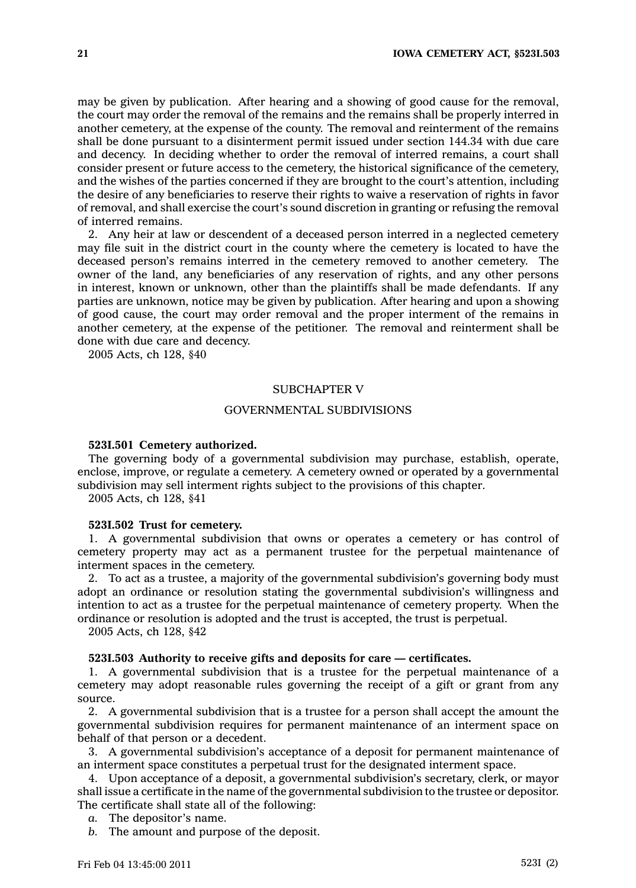may be given by publication. After hearing and <sup>a</sup> showing of good cause for the removal, the court may order the removal of the remains and the remains shall be properly interred in another cemetery, at the expense of the county. The removal and reinterment of the remains shall be done pursuant to <sup>a</sup> disinterment permit issued under section 144.34 with due care and decency. In deciding whether to order the removal of interred remains, <sup>a</sup> court shall consider present or future access to the cemetery, the historical significance of the cemetery, and the wishes of the parties concerned if they are brought to the court's attention, including the desire of any beneficiaries to reserve their rights to waive <sup>a</sup> reservation of rights in favor of removal, and shall exercise the court's sound discretion in granting or refusing the removal of interred remains.

2. Any heir at law or descendent of <sup>a</sup> deceased person interred in <sup>a</sup> neglected cemetery may file suit in the district court in the county where the cemetery is located to have the deceased person's remains interred in the cemetery removed to another cemetery. The owner of the land, any beneficiaries of any reservation of rights, and any other persons in interest, known or unknown, other than the plaintiffs shall be made defendants. If any parties are unknown, notice may be given by publication. After hearing and upon <sup>a</sup> showing of good cause, the court may order removal and the proper interment of the remains in another cemetery, at the expense of the petitioner. The removal and reinterment shall be done with due care and decency.

2005 Acts, ch 128, §40

# SUBCHAPTER V

### GOVERNMENTAL SUBDIVISIONS

# **523I.501 Cemetery authorized.**

The governing body of <sup>a</sup> governmental subdivision may purchase, establish, operate, enclose, improve, or regulate <sup>a</sup> cemetery. A cemetery owned or operated by <sup>a</sup> governmental subdivision may sell interment rights subject to the provisions of this chapter.

2005 Acts, ch 128, §41

### **523I.502 Trust for cemetery.**

1. A governmental subdivision that owns or operates <sup>a</sup> cemetery or has control of cemetery property may act as <sup>a</sup> permanent trustee for the perpetual maintenance of interment spaces in the cemetery.

2. To act as <sup>a</sup> trustee, <sup>a</sup> majority of the governmental subdivision's governing body must adopt an ordinance or resolution stating the governmental subdivision's willingness and intention to act as <sup>a</sup> trustee for the perpetual maintenance of cemetery property. When the ordinance or resolution is adopted and the trust is accepted, the trust is perpetual.

2005 Acts, ch 128, §42

# **523I.503 Authority to receive gifts and deposits for care — certificates.**

1. A governmental subdivision that is <sup>a</sup> trustee for the perpetual maintenance of <sup>a</sup> cemetery may adopt reasonable rules governing the receipt of <sup>a</sup> gift or grant from any source.

2. A governmental subdivision that is <sup>a</sup> trustee for <sup>a</sup> person shall accept the amount the governmental subdivision requires for permanent maintenance of an interment space on behalf of that person or <sup>a</sup> decedent.

3. A governmental subdivision's acceptance of <sup>a</sup> deposit for permanent maintenance of an interment space constitutes <sup>a</sup> perpetual trust for the designated interment space.

4. Upon acceptance of <sup>a</sup> deposit, <sup>a</sup> governmental subdivision's secretary, clerk, or mayor shall issue <sup>a</sup> certificate in the name of the governmental subdivision to the trustee or depositor. The certificate shall state all of the following:

- *a.* The depositor's name.
- *b.* The amount and purpose of the deposit.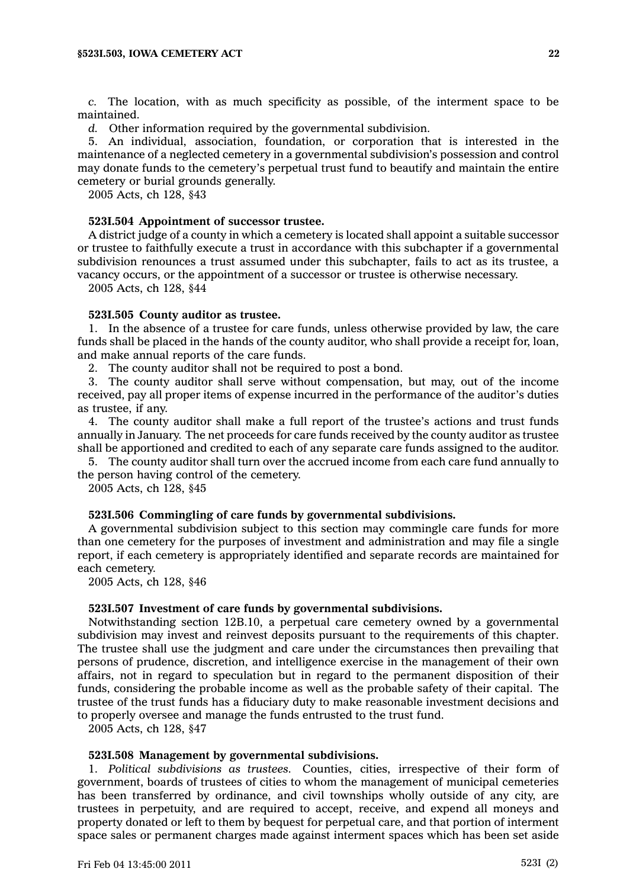*c.* The location, with as much specificity as possible, of the interment space to be maintained.

*d.* Other information required by the governmental subdivision.

5. An individual, association, foundation, or corporation that is interested in the maintenance of <sup>a</sup> neglected cemetery in <sup>a</sup> governmental subdivision's possession and control may donate funds to the cemetery's perpetual trust fund to beautify and maintain the entire cemetery or burial grounds generally.

2005 Acts, ch 128, §43

### **523I.504 Appointment of successor trustee.**

A district judge of <sup>a</sup> county in which <sup>a</sup> cemetery is located shall appoint <sup>a</sup> suitable successor or trustee to faithfully execute <sup>a</sup> trust in accordance with this subchapter if <sup>a</sup> governmental subdivision renounces <sup>a</sup> trust assumed under this subchapter, fails to act as its trustee, <sup>a</sup> vacancy occurs, or the appointment of <sup>a</sup> successor or trustee is otherwise necessary.

2005 Acts, ch 128, §44

#### **523I.505 County auditor as trustee.**

1. In the absence of <sup>a</sup> trustee for care funds, unless otherwise provided by law, the care funds shall be placed in the hands of the county auditor, who shall provide <sup>a</sup> receipt for, loan, and make annual reports of the care funds.

2. The county auditor shall not be required to post <sup>a</sup> bond.

3. The county auditor shall serve without compensation, but may, out of the income received, pay all proper items of expense incurred in the performance of the auditor's duties as trustee, if any.

4. The county auditor shall make <sup>a</sup> full report of the trustee's actions and trust funds annually in January. The net proceeds for care funds received by the county auditor as trustee shall be apportioned and credited to each of any separate care funds assigned to the auditor.

5. The county auditor shall turn over the accrued income from each care fund annually to the person having control of the cemetery.

2005 Acts, ch 128, §45

# **523I.506 Commingling of care funds by governmental subdivisions.**

A governmental subdivision subject to this section may commingle care funds for more than one cemetery for the purposes of investment and administration and may file <sup>a</sup> single report, if each cemetery is appropriately identified and separate records are maintained for each cemetery.

2005 Acts, ch 128, §46

### **523I.507 Investment of care funds by governmental subdivisions.**

Notwithstanding section 12B.10, <sup>a</sup> perpetual care cemetery owned by <sup>a</sup> governmental subdivision may invest and reinvest deposits pursuant to the requirements of this chapter. The trustee shall use the judgment and care under the circumstances then prevailing that persons of prudence, discretion, and intelligence exercise in the management of their own affairs, not in regard to speculation but in regard to the permanent disposition of their funds, considering the probable income as well as the probable safety of their capital. The trustee of the trust funds has <sup>a</sup> fiduciary duty to make reasonable investment decisions and to properly oversee and manage the funds entrusted to the trust fund.

2005 Acts, ch 128, §47

# **523I.508 Management by governmental subdivisions.**

1. *Political subdivisions as trustees.* Counties, cities, irrespective of their form of government, boards of trustees of cities to whom the management of municipal cemeteries has been transferred by ordinance, and civil townships wholly outside of any city, are trustees in perpetuity, and are required to accept, receive, and expend all moneys and property donated or left to them by bequest for perpetual care, and that portion of interment space sales or permanent charges made against interment spaces which has been set aside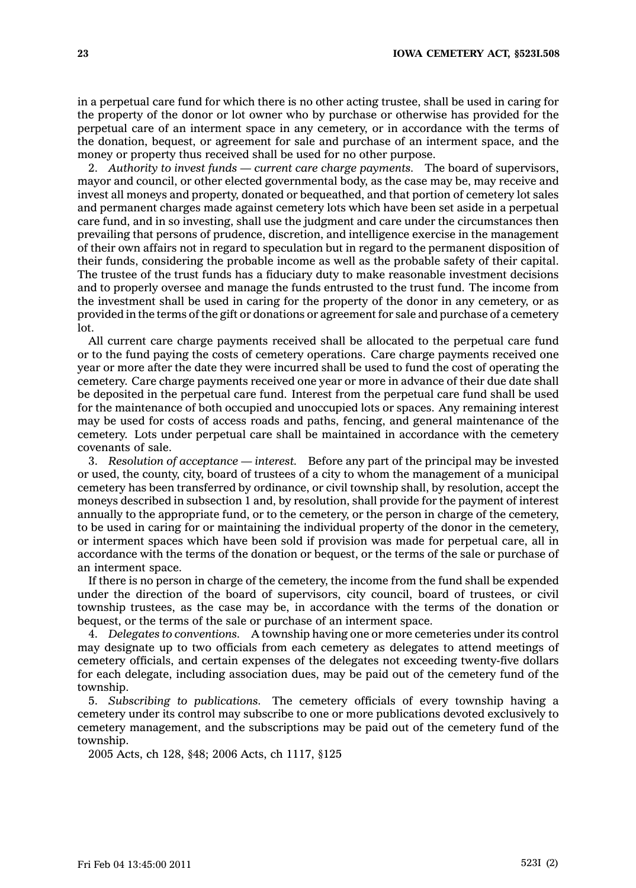in <sup>a</sup> perpetual care fund for which there is no other acting trustee, shall be used in caring for the property of the donor or lot owner who by purchase or otherwise has provided for the perpetual care of an interment space in any cemetery, or in accordance with the terms of the donation, bequest, or agreement for sale and purchase of an interment space, and the money or property thus received shall be used for no other purpose.

2. *Authority to invest funds — current care charge payments.* The board of supervisors, mayor and council, or other elected governmental body, as the case may be, may receive and invest all moneys and property, donated or bequeathed, and that portion of cemetery lot sales and permanent charges made against cemetery lots which have been set aside in <sup>a</sup> perpetual care fund, and in so investing, shall use the judgment and care under the circumstances then prevailing that persons of prudence, discretion, and intelligence exercise in the management of their own affairs not in regard to speculation but in regard to the permanent disposition of their funds, considering the probable income as well as the probable safety of their capital. The trustee of the trust funds has <sup>a</sup> fiduciary duty to make reasonable investment decisions and to properly oversee and manage the funds entrusted to the trust fund. The income from the investment shall be used in caring for the property of the donor in any cemetery, or as provided in the terms of the gift or donations or agreement for sale and purchase of <sup>a</sup> cemetery lot.

All current care charge payments received shall be allocated to the perpetual care fund or to the fund paying the costs of cemetery operations. Care charge payments received one year or more after the date they were incurred shall be used to fund the cost of operating the cemetery. Care charge payments received one year or more in advance of their due date shall be deposited in the perpetual care fund. Interest from the perpetual care fund shall be used for the maintenance of both occupied and unoccupied lots or spaces. Any remaining interest may be used for costs of access roads and paths, fencing, and general maintenance of the cemetery. Lots under perpetual care shall be maintained in accordance with the cemetery covenants of sale.

3. *Resolution of acceptance — interest.* Before any part of the principal may be invested or used, the county, city, board of trustees of <sup>a</sup> city to whom the management of <sup>a</sup> municipal cemetery has been transferred by ordinance, or civil township shall, by resolution, accept the moneys described in subsection 1 and, by resolution, shall provide for the payment of interest annually to the appropriate fund, or to the cemetery, or the person in charge of the cemetery, to be used in caring for or maintaining the individual property of the donor in the cemetery, or interment spaces which have been sold if provision was made for perpetual care, all in accordance with the terms of the donation or bequest, or the terms of the sale or purchase of an interment space.

If there is no person in charge of the cemetery, the income from the fund shall be expended under the direction of the board of supervisors, city council, board of trustees, or civil township trustees, as the case may be, in accordance with the terms of the donation or bequest, or the terms of the sale or purchase of an interment space.

4. *Delegates to conventions.* A township having one or more cemeteries under its control may designate up to two officials from each cemetery as delegates to attend meetings of cemetery officials, and certain expenses of the delegates not exceeding twenty-five dollars for each delegate, including association dues, may be paid out of the cemetery fund of the township.

5. *Subscribing to publications.* The cemetery officials of every township having <sup>a</sup> cemetery under its control may subscribe to one or more publications devoted exclusively to cemetery management, and the subscriptions may be paid out of the cemetery fund of the township.

2005 Acts, ch 128, §48; 2006 Acts, ch 1117, §125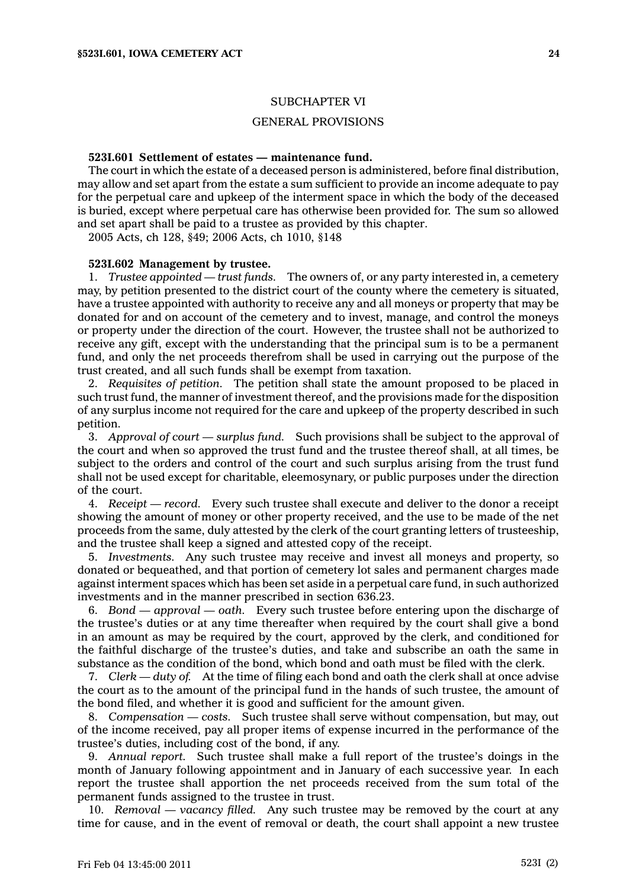### SUBCHAPTER VI

### GENERAL PROVISIONS

### **523I.601 Settlement of estates — maintenance fund.**

The court in which the estate of <sup>a</sup> deceased person is administered, before final distribution, may allow and set apart from the estate <sup>a</sup> sum sufficient to provide an income adequate to pay for the perpetual care and upkeep of the interment space in which the body of the deceased is buried, except where perpetual care has otherwise been provided for. The sum so allowed and set apart shall be paid to <sup>a</sup> trustee as provided by this chapter.

2005 Acts, ch 128, §49; 2006 Acts, ch 1010, §148

### **523I.602 Management by trustee.**

1. *Trustee appointed — trust funds.* The owners of, or any party interested in, <sup>a</sup> cemetery may, by petition presented to the district court of the county where the cemetery is situated, have <sup>a</sup> trustee appointed with authority to receive any and all moneys or property that may be donated for and on account of the cemetery and to invest, manage, and control the moneys or property under the direction of the court. However, the trustee shall not be authorized to receive any gift, except with the understanding that the principal sum is to be <sup>a</sup> permanent fund, and only the net proceeds therefrom shall be used in carrying out the purpose of the trust created, and all such funds shall be exempt from taxation.

2. *Requisites of petition.* The petition shall state the amount proposed to be placed in such trust fund, the manner of investment thereof, and the provisions made for the disposition of any surplus income not required for the care and upkeep of the property described in such petition.

3. *Approval of court —surplus fund.* Such provisions shall be subject to the approval of the court and when so approved the trust fund and the trustee thereof shall, at all times, be subject to the orders and control of the court and such surplus arising from the trust fund shall not be used except for charitable, eleemosynary, or public purposes under the direction of the court.

4. *Receipt —record.* Every such trustee shall execute and deliver to the donor <sup>a</sup> receipt showing the amount of money or other property received, and the use to be made of the net proceeds from the same, duly attested by the clerk of the court granting letters of trusteeship, and the trustee shall keep <sup>a</sup> signed and attested copy of the receipt.

5. *Investments.* Any such trustee may receive and invest all moneys and property, so donated or bequeathed, and that portion of cemetery lot sales and permanent charges made against interment spaces which has been set aside in <sup>a</sup> perpetual care fund, in such authorized investments and in the manner prescribed in section 636.23.

6. *Bond — approval —oath.* Every such trustee before entering upon the discharge of the trustee's duties or at any time thereafter when required by the court shall give <sup>a</sup> bond in an amount as may be required by the court, approved by the clerk, and conditioned for the faithful discharge of the trustee's duties, and take and subscribe an oath the same in substance as the condition of the bond, which bond and oath must be filed with the clerk.

7. *Clerk — duty of.* At the time of filing each bond and oath the clerk shall at once advise the court as to the amount of the principal fund in the hands of such trustee, the amount of the bond filed, and whether it is good and sufficient for the amount given.

8. *Compensation — costs.* Such trustee shall serve without compensation, but may, out of the income received, pay all proper items of expense incurred in the performance of the trustee's duties, including cost of the bond, if any.

9. *Annual report.* Such trustee shall make <sup>a</sup> full report of the trustee's doings in the month of January following appointment and in January of each successive year. In each report the trustee shall apportion the net proceeds received from the sum total of the permanent funds assigned to the trustee in trust.

10. *Removal —vacancy filled.* Any such trustee may be removed by the court at any time for cause, and in the event of removal or death, the court shall appoint <sup>a</sup> new trustee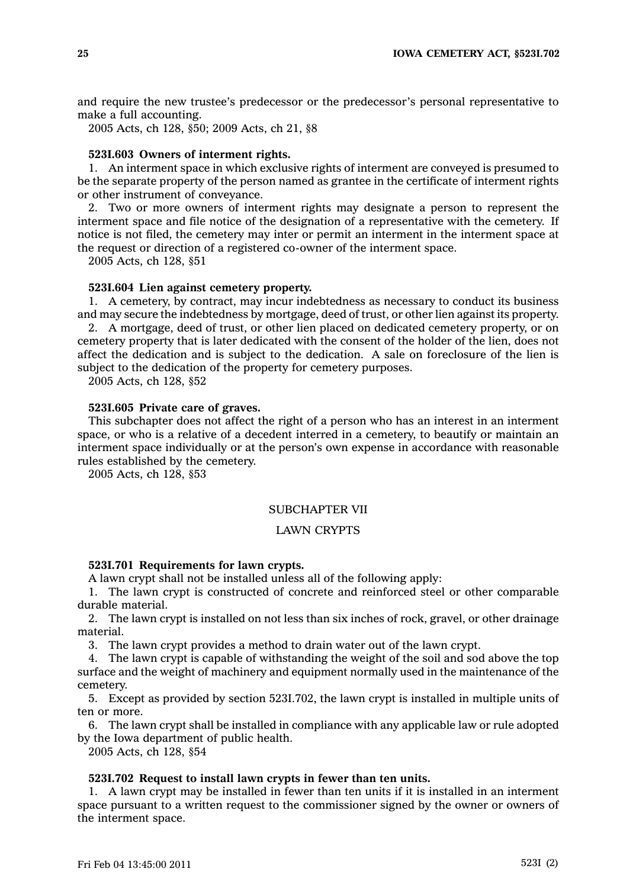and require the new trustee's predecessor or the predecessor's personal representative to make <sup>a</sup> full accounting.

2005 Acts, ch 128, §50; 2009 Acts, ch 21, §8

### **523I.603 Owners of interment rights.**

1. An interment space in which exclusive rights of interment are conveyed is presumed to be the separate property of the person named as grantee in the certificate of interment rights or other instrument of conveyance.

2. Two or more owners of interment rights may designate <sup>a</sup> person to represent the interment space and file notice of the designation of <sup>a</sup> representative with the cemetery. If notice is not filed, the cemetery may inter or permit an interment in the interment space at the request or direction of <sup>a</sup> registered co-owner of the interment space.

2005 Acts, ch 128, §51

### **523I.604 Lien against cemetery property.**

1. A cemetery, by contract, may incur indebtedness as necessary to conduct its business and may secure the indebtedness by mortgage, deed of trust, or other lien against its property.

2. A mortgage, deed of trust, or other lien placed on dedicated cemetery property, or on cemetery property that is later dedicated with the consent of the holder of the lien, does not affect the dedication and is subject to the dedication. A sale on foreclosure of the lien is subject to the dedication of the property for cemetery purposes.

2005 Acts, ch 128, §52

# **523I.605 Private care of graves.**

This subchapter does not affect the right of <sup>a</sup> person who has an interest in an interment space, or who is <sup>a</sup> relative of <sup>a</sup> decedent interred in <sup>a</sup> cemetery, to beautify or maintain an interment space individually or at the person's own expense in accordance with reasonable rules established by the cemetery.

2005 Acts, ch 128, §53

### SUBCHAPTER VII

# LAWN CRYPTS

### **523I.701 Requirements for lawn crypts.**

A lawn crypt shall not be installed unless all of the following apply:

1. The lawn crypt is constructed of concrete and reinforced steel or other comparable durable material.

2. The lawn crypt is installed on not less than six inches of rock, gravel, or other drainage material.

3. The lawn crypt provides <sup>a</sup> method to drain water out of the lawn crypt.

4. The lawn crypt is capable of withstanding the weight of the soil and sod above the top surface and the weight of machinery and equipment normally used in the maintenance of the cemetery.

5. Except as provided by section 523I.702, the lawn crypt is installed in multiple units of ten or more.

6. The lawn crypt shall be installed in compliance with any applicable law or rule adopted by the Iowa department of public health.

2005 Acts, ch 128, §54

#### **523I.702 Request to install lawn crypts in fewer than ten units.**

1. A lawn crypt may be installed in fewer than ten units if it is installed in an interment space pursuant to <sup>a</sup> written request to the commissioner signed by the owner or owners of the interment space.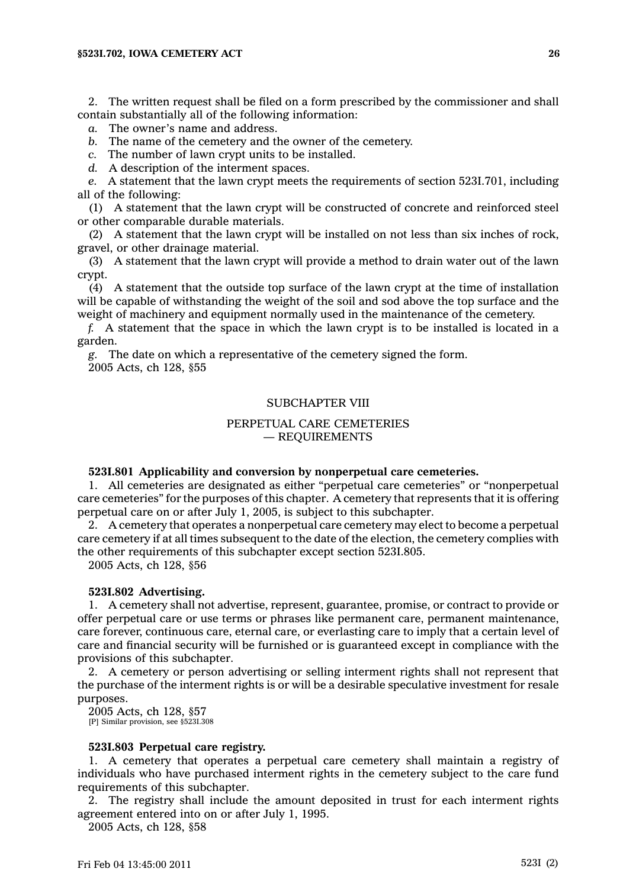2. The written request shall be filed on <sup>a</sup> form prescribed by the commissioner and shall contain substantially all of the following information:

*a.* The owner's name and address.

*b.* The name of the cemetery and the owner of the cemetery.

*c.* The number of lawn crypt units to be installed.

*d.* A description of the interment spaces.

*e.* A statement that the lawn crypt meets the requirements of section 523I.701, including all of the following:

(1) A statement that the lawn crypt will be constructed of concrete and reinforced steel or other comparable durable materials.

(2) A statement that the lawn crypt will be installed on not less than six inches of rock, gravel, or other drainage material.

(3) A statement that the lawn crypt will provide <sup>a</sup> method to drain water out of the lawn crypt.

(4) A statement that the outside top surface of the lawn crypt at the time of installation will be capable of withstanding the weight of the soil and sod above the top surface and the weight of machinery and equipment normally used in the maintenance of the cemetery.

*f.* A statement that the space in which the lawn crypt is to be installed is located in <sup>a</sup> garden.

*g.* The date on which <sup>a</sup> representative of the cemetery signed the form. 2005 Acts, ch 128, §55

### SUBCHAPTER VIII

# PERPETUAL CARE CEMETERIES — REQUIREMENTS

#### **523I.801 Applicability and conversion by nonperpetual care cemeteries.**

1. All cemeteries are designated as either "perpetual care cemeteries" or "nonperpetual care cemeteries" for the purposes of this chapter. A cemetery that represents that it is offering perpetual care on or after July 1, 2005, is subject to this subchapter.

2. A cemetery that operates <sup>a</sup> nonperpetual care cemetery may elect to become <sup>a</sup> perpetual care cemetery if at all times subsequent to the date of the election, the cemetery complies with the other requirements of this subchapter except section 523I.805.

2005 Acts, ch 128, §56

### **523I.802 Advertising.**

1. A cemetery shall not advertise, represent, guarantee, promise, or contract to provide or offer perpetual care or use terms or phrases like permanent care, permanent maintenance, care forever, continuous care, eternal care, or everlasting care to imply that <sup>a</sup> certain level of care and financial security will be furnished or is guaranteed except in compliance with the provisions of this subchapter.

2. A cemetery or person advertising or selling interment rights shall not represent that the purchase of the interment rights is or will be <sup>a</sup> desirable speculative investment for resale purposes.

2005 Acts, ch 128, §57 [P] Similar provision, see §523I.308

### **523I.803 Perpetual care registry.**

1. A cemetery that operates <sup>a</sup> perpetual care cemetery shall maintain <sup>a</sup> registry of individuals who have purchased interment rights in the cemetery subject to the care fund requirements of this subchapter.

2. The registry shall include the amount deposited in trust for each interment rights agreement entered into on or after July 1, 1995.

2005 Acts, ch 128, §58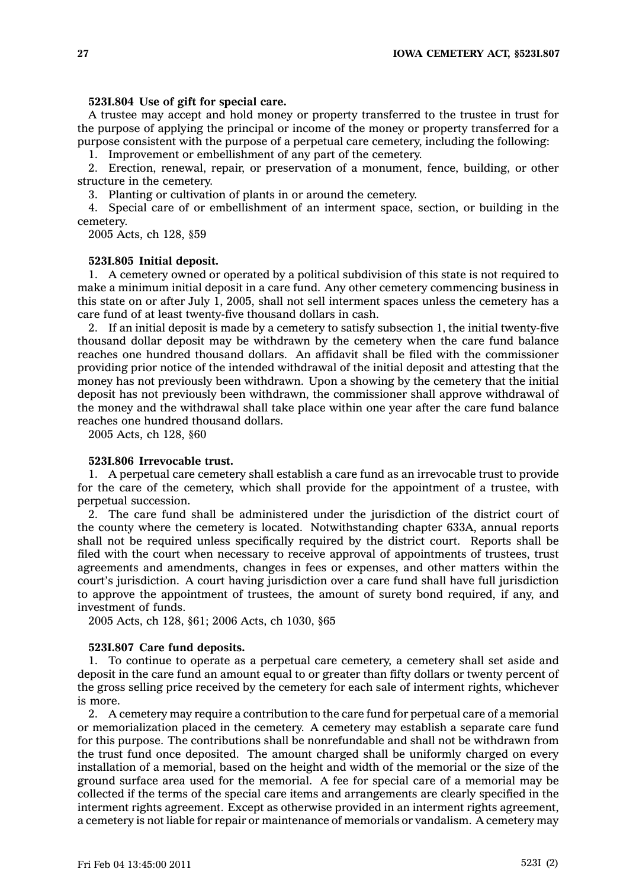# **523I.804 Use of gift for special care.**

A trustee may accept and hold money or property transferred to the trustee in trust for the purpose of applying the principal or income of the money or property transferred for <sup>a</sup> purpose consistent with the purpose of <sup>a</sup> perpetual care cemetery, including the following:

1. Improvement or embellishment of any part of the cemetery.

2. Erection, renewal, repair, or preservation of <sup>a</sup> monument, fence, building, or other structure in the cemetery.

3. Planting or cultivation of plants in or around the cemetery.

4. Special care of or embellishment of an interment space, section, or building in the cemetery.

2005 Acts, ch 128, §59

# **523I.805 Initial deposit.**

1. A cemetery owned or operated by <sup>a</sup> political subdivision of this state is not required to make <sup>a</sup> minimum initial deposit in <sup>a</sup> care fund. Any other cemetery commencing business in this state on or after July 1, 2005, shall not sell interment spaces unless the cemetery has <sup>a</sup> care fund of at least twenty-five thousand dollars in cash.

2. If an initial deposit is made by <sup>a</sup> cemetery to satisfy subsection 1, the initial twenty-five thousand dollar deposit may be withdrawn by the cemetery when the care fund balance reaches one hundred thousand dollars. An affidavit shall be filed with the commissioner providing prior notice of the intended withdrawal of the initial deposit and attesting that the money has not previously been withdrawn. Upon <sup>a</sup> showing by the cemetery that the initial deposit has not previously been withdrawn, the commissioner shall approve withdrawal of the money and the withdrawal shall take place within one year after the care fund balance reaches one hundred thousand dollars.

2005 Acts, ch 128, §60

### **523I.806 Irrevocable trust.**

1. A perpetual care cemetery shall establish <sup>a</sup> care fund as an irrevocable trust to provide for the care of the cemetery, which shall provide for the appointment of <sup>a</sup> trustee, with perpetual succession.

2. The care fund shall be administered under the jurisdiction of the district court of the county where the cemetery is located. Notwithstanding chapter 633A, annual reports shall not be required unless specifically required by the district court. Reports shall be filed with the court when necessary to receive approval of appointments of trustees, trust agreements and amendments, changes in fees or expenses, and other matters within the court's jurisdiction. A court having jurisdiction over <sup>a</sup> care fund shall have full jurisdiction to approve the appointment of trustees, the amount of surety bond required, if any, and investment of funds.

2005 Acts, ch 128, §61; 2006 Acts, ch 1030, §65

### **523I.807 Care fund deposits.**

1. To continue to operate as <sup>a</sup> perpetual care cemetery, <sup>a</sup> cemetery shall set aside and deposit in the care fund an amount equal to or greater than fifty dollars or twenty percent of the gross selling price received by the cemetery for each sale of interment rights, whichever is more.

2. A cemetery may require <sup>a</sup> contribution to the care fund for perpetual care of <sup>a</sup> memorial or memorialization placed in the cemetery. A cemetery may establish <sup>a</sup> separate care fund for this purpose. The contributions shall be nonrefundable and shall not be withdrawn from the trust fund once deposited. The amount charged shall be uniformly charged on every installation of <sup>a</sup> memorial, based on the height and width of the memorial or the size of the ground surface area used for the memorial. A fee for special care of <sup>a</sup> memorial may be collected if the terms of the special care items and arrangements are clearly specified in the interment rights agreement. Except as otherwise provided in an interment rights agreement, <sup>a</sup> cemetery is not liable for repair or maintenance of memorials or vandalism. A cemetery may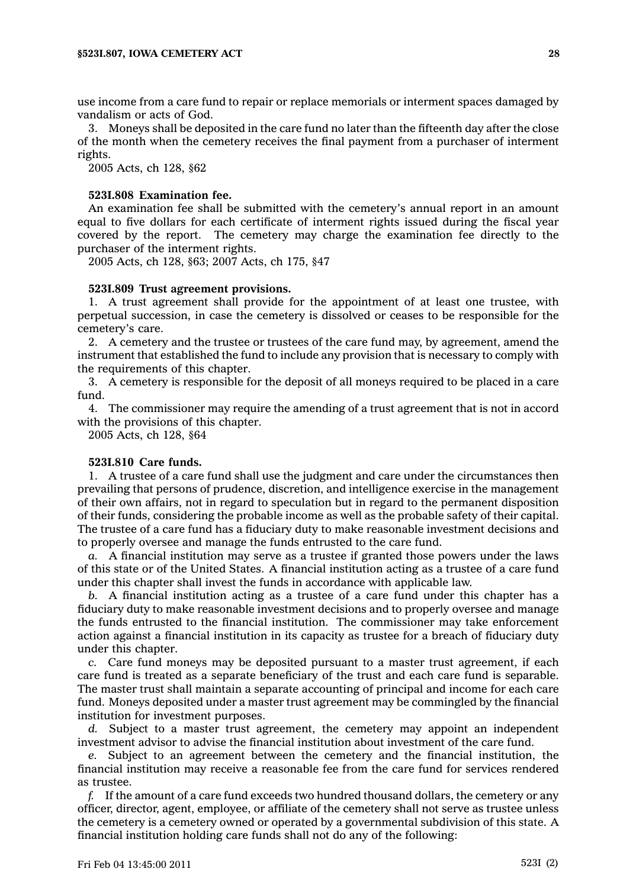use income from <sup>a</sup> care fund to repair or replace memorials or interment spaces damaged by vandalism or acts of God.

3. Moneys shall be deposited in the care fund no later than the fifteenth day after the close of the month when the cemetery receives the final payment from <sup>a</sup> purchaser of interment rights.

2005 Acts, ch 128, §62

#### **523I.808 Examination fee.**

An examination fee shall be submitted with the cemetery's annual report in an amount equal to five dollars for each certificate of interment rights issued during the fiscal year covered by the report. The cemetery may charge the examination fee directly to the purchaser of the interment rights.

2005 Acts, ch 128, §63; 2007 Acts, ch 175, §47

#### **523I.809 Trust agreement provisions.**

1. A trust agreement shall provide for the appointment of at least one trustee, with perpetual succession, in case the cemetery is dissolved or ceases to be responsible for the cemetery's care.

2. A cemetery and the trustee or trustees of the care fund may, by agreement, amend the instrument that established the fund to include any provision that is necessary to comply with the requirements of this chapter.

3. A cemetery is responsible for the deposit of all moneys required to be placed in <sup>a</sup> care fund.

4. The commissioner may require the amending of <sup>a</sup> trust agreement that is not in accord with the provisions of this chapter.

2005 Acts, ch 128, §64

# **523I.810 Care funds.**

1. A trustee of <sup>a</sup> care fund shall use the judgment and care under the circumstances then prevailing that persons of prudence, discretion, and intelligence exercise in the management of their own affairs, not in regard to speculation but in regard to the permanent disposition of their funds, considering the probable income as well as the probable safety of their capital. The trustee of <sup>a</sup> care fund has <sup>a</sup> fiduciary duty to make reasonable investment decisions and to properly oversee and manage the funds entrusted to the care fund.

*a.* A financial institution may serve as <sup>a</sup> trustee if granted those powers under the laws of this state or of the United States. A financial institution acting as <sup>a</sup> trustee of <sup>a</sup> care fund under this chapter shall invest the funds in accordance with applicable law.

*b.* A financial institution acting as <sup>a</sup> trustee of <sup>a</sup> care fund under this chapter has <sup>a</sup> fiduciary duty to make reasonable investment decisions and to properly oversee and manage the funds entrusted to the financial institution. The commissioner may take enforcement action against <sup>a</sup> financial institution in its capacity as trustee for <sup>a</sup> breach of fiduciary duty under this chapter.

*c.* Care fund moneys may be deposited pursuant to <sup>a</sup> master trust agreement, if each care fund is treated as <sup>a</sup> separate beneficiary of the trust and each care fund is separable. The master trust shall maintain <sup>a</sup> separate accounting of principal and income for each care fund. Moneys deposited under <sup>a</sup> master trust agreement may be commingled by the financial institution for investment purposes.

*d.* Subject to <sup>a</sup> master trust agreement, the cemetery may appoint an independent investment advisor to advise the financial institution about investment of the care fund.

*e.* Subject to an agreement between the cemetery and the financial institution, the financial institution may receive <sup>a</sup> reasonable fee from the care fund for services rendered as trustee.

*f.* If the amount of <sup>a</sup> care fund exceeds two hundred thousand dollars, the cemetery or any officer, director, agent, employee, or affiliate of the cemetery shall not serve as trustee unless the cemetery is <sup>a</sup> cemetery owned or operated by <sup>a</sup> governmental subdivision of this state. A financial institution holding care funds shall not do any of the following: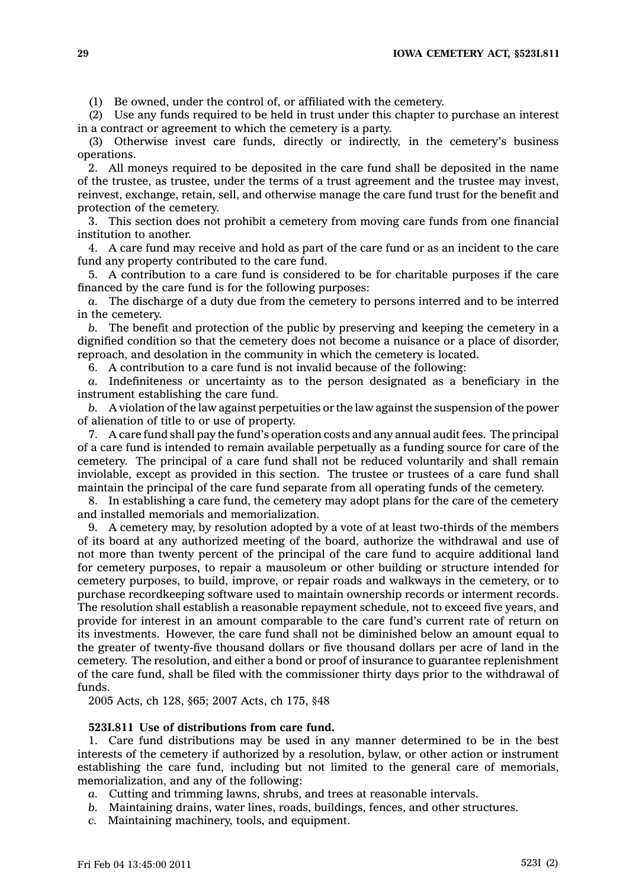(1) Be owned, under the control of, or affiliated with the cemetery.

(2) Use any funds required to be held in trust under this chapter to purchase an interest in <sup>a</sup> contract or agreement to which the cemetery is <sup>a</sup> party.

(3) Otherwise invest care funds, directly or indirectly, in the cemetery's business operations.

2. All moneys required to be deposited in the care fund shall be deposited in the name of the trustee, as trustee, under the terms of <sup>a</sup> trust agreement and the trustee may invest, reinvest, exchange, retain, sell, and otherwise manage the care fund trust for the benefit and protection of the cemetery.

3. This section does not prohibit <sup>a</sup> cemetery from moving care funds from one financial institution to another.

4. A care fund may receive and hold as part of the care fund or as an incident to the care fund any property contributed to the care fund.

5. A contribution to <sup>a</sup> care fund is considered to be for charitable purposes if the care financed by the care fund is for the following purposes:

*a.* The discharge of <sup>a</sup> duty due from the cemetery to persons interred and to be interred in the cemetery.

*b.* The benefit and protection of the public by preserving and keeping the cemetery in <sup>a</sup> dignified condition so that the cemetery does not become <sup>a</sup> nuisance or <sup>a</sup> place of disorder, reproach, and desolation in the community in which the cemetery is located.

6. A contribution to <sup>a</sup> care fund is not invalid because of the following:

*a.* Indefiniteness or uncertainty as to the person designated as <sup>a</sup> beneficiary in the instrument establishing the care fund.

*b.* A violation of the law against perpetuities or the law against the suspension of the power of alienation of title to or use of property.

7. A care fund shall pay the fund's operation costs and any annual audit fees. The principal of <sup>a</sup> care fund is intended to remain available perpetually as <sup>a</sup> funding source for care of the cemetery. The principal of <sup>a</sup> care fund shall not be reduced voluntarily and shall remain inviolable, except as provided in this section. The trustee or trustees of <sup>a</sup> care fund shall maintain the principal of the care fund separate from all operating funds of the cemetery.

8. In establishing <sup>a</sup> care fund, the cemetery may adopt plans for the care of the cemetery and installed memorials and memorialization.

9. A cemetery may, by resolution adopted by <sup>a</sup> vote of at least two-thirds of the members of its board at any authorized meeting of the board, authorize the withdrawal and use of not more than twenty percent of the principal of the care fund to acquire additional land for cemetery purposes, to repair <sup>a</sup> mausoleum or other building or structure intended for cemetery purposes, to build, improve, or repair roads and walkways in the cemetery, or to purchase recordkeeping software used to maintain ownership records or interment records. The resolution shall establish <sup>a</sup> reasonable repayment schedule, not to exceed five years, and provide for interest in an amount comparable to the care fund's current rate of return on its investments. However, the care fund shall not be diminished below an amount equal to the greater of twenty-five thousand dollars or five thousand dollars per acre of land in the cemetery. The resolution, and either <sup>a</sup> bond or proof of insurance to guarantee replenishment of the care fund, shall be filed with the commissioner thirty days prior to the withdrawal of funds.

2005 Acts, ch 128, §65; 2007 Acts, ch 175, §48

#### **523I.811 Use of distributions from care fund.**

1. Care fund distributions may be used in any manner determined to be in the best interests of the cemetery if authorized by <sup>a</sup> resolution, bylaw, or other action or instrument establishing the care fund, including but not limited to the general care of memorials, memorialization, and any of the following:

*a.* Cutting and trimming lawns, shrubs, and trees at reasonable intervals.

- *b.* Maintaining drains, water lines, roads, buildings, fences, and other structures.
- *c.* Maintaining machinery, tools, and equipment.